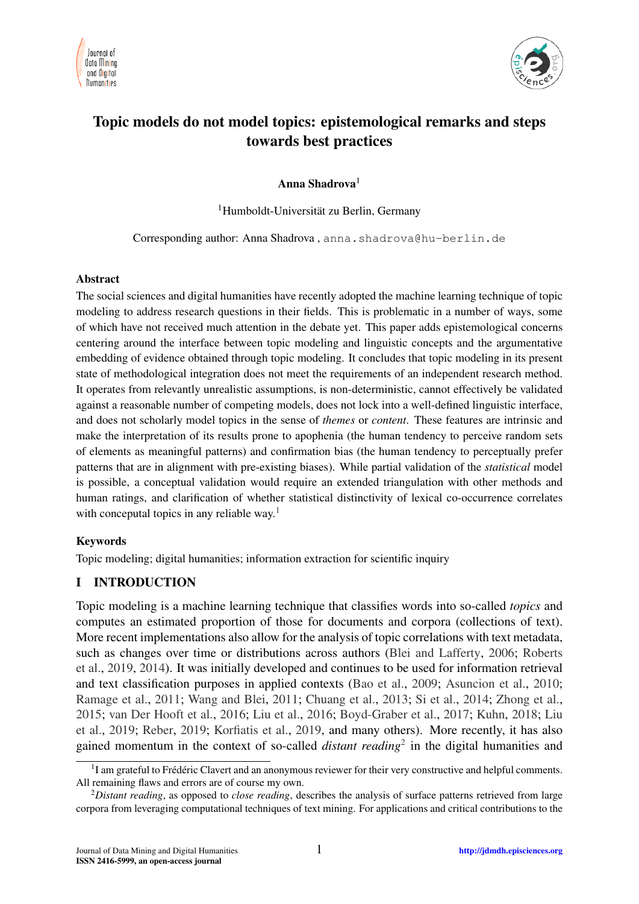



# Topic models do not model topics: epistemological remarks and steps towards best practices

Anna Shadrova<sup>1</sup>

<sup>1</sup>Humboldt-Universität zu Berlin, Germany

Corresponding author: Anna Shadrova, anna.shadrova@hu-berlin.de

#### Abstract

The social sciences and digital humanities have recently adopted the machine learning technique of topic modeling to address research questions in their fields. This is problematic in a number of ways, some of which have not received much attention in the debate yet. This paper adds epistemological concerns centering around the interface between topic modeling and linguistic concepts and the argumentative embedding of evidence obtained through topic modeling. It concludes that topic modeling in its present state of methodological integration does not meet the requirements of an independent research method. It operates from relevantly unrealistic assumptions, is non-deterministic, cannot effectively be validated against a reasonable number of competing models, does not lock into a well-defined linguistic interface, and does not scholarly model topics in the sense of *themes* or *content*. These features are intrinsic and make the interpretation of its results prone to apophenia (the human tendency to perceive random sets of elements as meaningful patterns) and confirmation bias (the human tendency to perceptually prefer patterns that are in alignment with pre-existing biases). While partial validation of the *statistical* model is possible, a conceptual validation would require an extended triangulation with other methods and human ratings, and clarification of whether statistical distinctivity of lexical co-occurrence correlates with conceputal topics in any reliable way.<sup>[1](#page-0-0)</sup>

#### Keywords

Topic modeling; digital humanities; information extraction for scientific inquiry

### I INTRODUCTION

Topic modeling is a machine learning technique that classifies words into so-called *topics* and computes an estimated proportion of those for documents and corpora (collections of text). More recent implementations also allow for the analysis of topic correlations with text metadata, such as changes over time or distributions across authors [\(Blei and Lafferty,](#page-22-0) [2006;](#page-22-0) [Roberts](#page-25-0) [et al.,](#page-25-0) [2019,](#page-25-0) [2014\)](#page-26-0). It was initially developed and continues to be used for information retrieval and text classification purposes in applied contexts [\(Bao et al.,](#page-22-1) [2009;](#page-22-1) [Asuncion et al.,](#page-22-2) [2010;](#page-22-2) [Ramage et al.,](#page-25-1) [2011;](#page-25-1) [Wang and Blei,](#page-26-1) [2011;](#page-26-1) [Chuang et al.,](#page-23-0) [2013;](#page-23-0) [Si et al.,](#page-26-2) [2014;](#page-26-2) [Zhong et al.,](#page-27-0) [2015;](#page-27-0) [van Der Hooft et al.,](#page-26-3) [2016;](#page-26-3) [Liu et al.,](#page-24-0) [2016;](#page-24-0) [Boyd-Graber et al.,](#page-22-3) [2017;](#page-22-3) [Kuhn,](#page-24-1) [2018;](#page-24-1) [Liu](#page-24-2) [et al.,](#page-24-2) [2019;](#page-24-2) [Reber,](#page-25-2) [2019;](#page-25-2) [Korfiatis et al.,](#page-24-3) [2019,](#page-24-3) and many others). More recently, it has also gained momentum in the context of so-called *distant reading*[2](#page-0-1) in the digital humanities and

<span id="page-0-0"></span><sup>&</sup>lt;sup>1</sup>I am grateful to Frédéric Clavert and an anonymous reviewer for their very constructive and helpful comments. All remaining flaws and errors are of course my own.

<span id="page-0-1"></span><sup>2</sup>*Distant reading*, as opposed to *close reading*, describes the analysis of surface patterns retrieved from large corpora from leveraging computational techniques of text mining. For applications and critical contributions to the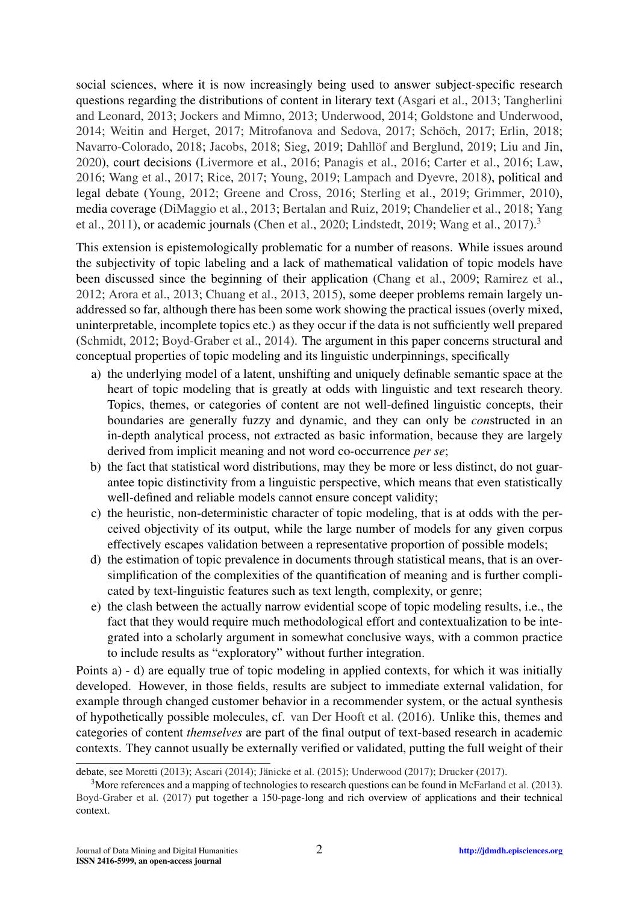social sciences, where it is now increasingly being used to answer subject-specific research questions regarding the distributions of content in literary text [\(Asgari et al.,](#page-22-4) [2013;](#page-22-4) [Tangherlini](#page-26-4) [and Leonard,](#page-26-4) [2013;](#page-26-4) [Jockers and Mimno,](#page-24-4) [2013;](#page-24-4) [Underwood,](#page-26-5) [2014;](#page-26-5) [Goldstone and Underwood,](#page-23-1) [2014;](#page-23-1) [Weitin and Herget,](#page-26-6) [2017;](#page-26-7) [Mitrofanova and Sedova,](#page-25-3) 2017; Schöch, 2017; [Erlin,](#page-23-2) [2018;](#page-23-2) [Navarro-Colorado,](#page-25-4) [2018;](#page-24-5) [Jacobs,](#page-24-5) 2018; [Sieg,](#page-26-8) [2019;](#page-23-3) Dahllöf and Berglund, 2019; [Liu and Jin,](#page-24-6) [2020\)](#page-24-6), court decisions [\(Livermore et al.,](#page-25-5) [2016;](#page-25-5) [Panagis et al.,](#page-25-6) [2016;](#page-25-6) [Carter et al.,](#page-22-5) [2016;](#page-22-5) [Law,](#page-24-7) [2016;](#page-24-7) [Wang et al.,](#page-26-9) [2017;](#page-26-9) [Rice,](#page-25-7) [2017;](#page-25-7) [Young,](#page-27-1) [2019;](#page-27-1) [Lampach and Dyevre,](#page-24-8) [2018\)](#page-24-8), political and legal debate [\(Young,](#page-26-10) [2012;](#page-26-10) [Greene and Cross,](#page-23-4) [2016;](#page-23-4) [Sterling et al.,](#page-26-11) [2019;](#page-26-11) [Grimmer,](#page-23-5) [2010\)](#page-23-5), media coverage [\(DiMaggio et al.,](#page-23-6) [2013;](#page-23-6) [Bertalan and Ruiz,](#page-22-6) [2019;](#page-22-6) [Chandelier et al.,](#page-22-7) [2018;](#page-22-7) [Yang](#page-26-12) [et al.,](#page-26-12) [2011\)](#page-26-12), or academic journals [\(Chen et al.,](#page-22-8) [2020;](#page-22-8) [Lindstedt,](#page-24-9) [2019;](#page-24-9) [Wang et al.,](#page-26-9) [2017\)](#page-26-9).<sup>[3](#page-1-0)</sup>

This extension is epistemologically problematic for a number of reasons. While issues around the subjectivity of topic labeling and a lack of mathematical validation of topic models have been discussed since the beginning of their application [\(Chang et al.,](#page-22-9) [2009;](#page-22-9) [Ramirez et al.,](#page-25-8) [2012;](#page-25-8) [Arora et al.,](#page-22-10) [2013;](#page-22-10) [Chuang et al.,](#page-23-0) [2013,](#page-23-0) [2015\)](#page-23-7), some deeper problems remain largely unaddressed so far, although there has been some work showing the practical issues (overly mixed, uninterpretable, incomplete topics etc.) as they occur if the data is not sufficiently well prepared [\(Schmidt,](#page-26-13) [2012;](#page-26-13) [Boyd-Graber et al.,](#page-22-11) [2014\)](#page-22-11). The argument in this paper concerns structural and conceptual properties of topic modeling and its linguistic underpinnings, specifically

- a) the underlying model of a latent, unshifting and uniquely definable semantic space at the heart of topic modeling that is greatly at odds with linguistic and text research theory. Topics, themes, or categories of content are not well-defined linguistic concepts, their boundaries are generally fuzzy and dynamic, and they can only be *con*structed in an in-depth analytical process, not *ex*tracted as basic information, because they are largely derived from implicit meaning and not word co-occurrence *per se*;
- b) the fact that statistical word distributions, may they be more or less distinct, do not guarantee topic distinctivity from a linguistic perspective, which means that even statistically well-defined and reliable models cannot ensure concept validity;
- c) the heuristic, non-deterministic character of topic modeling, that is at odds with the perceived objectivity of its output, while the large number of models for any given corpus effectively escapes validation between a representative proportion of possible models;
- d) the estimation of topic prevalence in documents through statistical means, that is an oversimplification of the complexities of the quantification of meaning and is further complicated by text-linguistic features such as text length, complexity, or genre;
- e) the clash between the actually narrow evidential scope of topic modeling results, i.e., the fact that they would require much methodological effort and contextualization to be integrated into a scholarly argument in somewhat conclusive ways, with a common practice to include results as "exploratory" without further integration.

Points a) - d) are equally true of topic modeling in applied contexts, for which it was initially developed. However, in those fields, results are subject to immediate external validation, for example through changed customer behavior in a recommender system, or the actual synthesis of hypothetically possible molecules, cf. [van Der Hooft et al.](#page-26-3) [\(2016\)](#page-26-3). Unlike this, themes and categories of content *themselves* are part of the final output of text-based research in academic contexts. They cannot usually be externally verified or validated, putting the full weight of their

debate, see [Moretti](#page-25-9) [\(2013\)](#page-25-9); [Ascari](#page-22-12) [\(2014\)](#page-22-12); Jänicke et al.  $(2015)$ ; [Underwood](#page-26-14) [\(2017\)](#page-23-8); [Drucker](#page-23-8) (2017).

<span id="page-1-0"></span> $3$ More references and a mapping of technologies to research questions can be found in [McFarland et al.](#page-25-10) [\(2013\)](#page-25-10). [Boyd-Graber et al.](#page-22-3) [\(2017\)](#page-22-3) put together a 150-page-long and rich overview of applications and their technical context.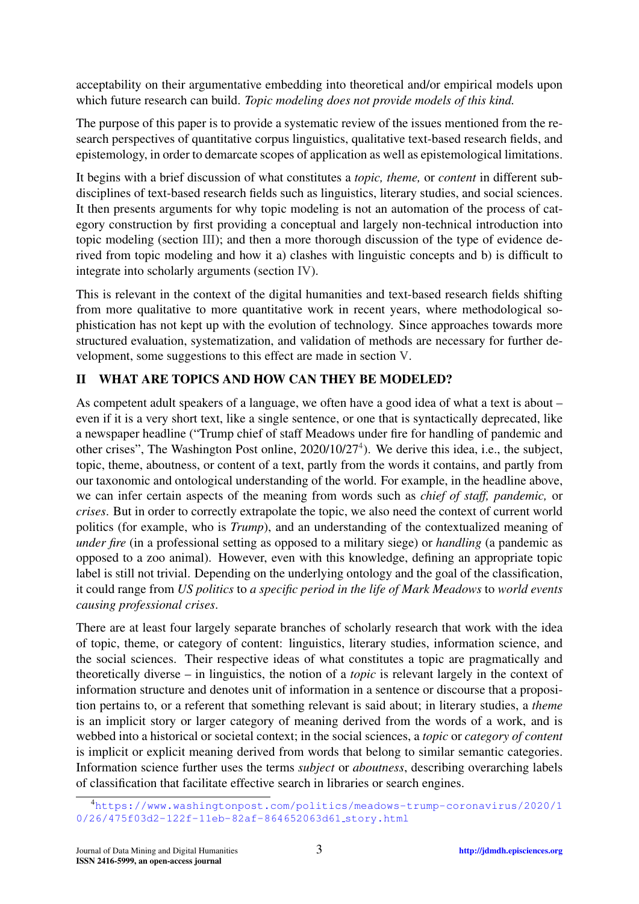acceptability on their argumentative embedding into theoretical and/or empirical models upon which future research can build. *Topic modeling does not provide models of this kind.*

The purpose of this paper is to provide a systematic review of the issues mentioned from the research perspectives of quantitative corpus linguistics, qualitative text-based research fields, and epistemology, in order to demarcate scopes of application as well as epistemological limitations.

It begins with a brief discussion of what constitutes a *topic, theme,* or *content* in different subdisciplines of text-based research fields such as linguistics, literary studies, and social sciences. It then presents arguments for why topic modeling is not an automation of the process of category construction by first providing a conceptual and largely non-technical introduction into topic modeling (section [III\)](#page-4-0); and then a more thorough discussion of the type of evidence derived from topic modeling and how it a) clashes with linguistic concepts and b) is difficult to integrate into scholarly arguments (section [IV\)](#page-6-0).

This is relevant in the context of the digital humanities and text-based research fields shifting from more qualitative to more quantitative work in recent years, where methodological sophistication has not kept up with the evolution of technology. Since approaches towards more structured evaluation, systematization, and validation of methods are necessary for further development, some suggestions to this effect are made in section [V.](#page-17-0)

## II WHAT ARE TOPICS AND HOW CAN THEY BE MODELED?

As competent adult speakers of a language, we often have a good idea of what a text is about – even if it is a very short text, like a single sentence, or one that is syntactically deprecated, like a newspaper headline ("Trump chief of staff Meadows under fire for handling of pandemic and other crises", The Washington Post online, 2020/10/27<sup>[4](#page-2-0)</sup>). We derive this idea, i.e., the subject, topic, theme, aboutness, or content of a text, partly from the words it contains, and partly from our taxonomic and ontological understanding of the world. For example, in the headline above, we can infer certain aspects of the meaning from words such as *chief of staff, pandemic,* or *crises*. But in order to correctly extrapolate the topic, we also need the context of current world politics (for example, who is *Trump*), and an understanding of the contextualized meaning of *under fire* (in a professional setting as opposed to a military siege) or *handling* (a pandemic as opposed to a zoo animal). However, even with this knowledge, defining an appropriate topic label is still not trivial. Depending on the underlying ontology and the goal of the classification, it could range from *US politics* to *a specific period in the life of Mark Meadows* to *world events causing professional crises*.

There are at least four largely separate branches of scholarly research that work with the idea of topic, theme, or category of content: linguistics, literary studies, information science, and the social sciences. Their respective ideas of what constitutes a topic are pragmatically and theoretically diverse – in linguistics, the notion of a *topic* is relevant largely in the context of information structure and denotes unit of information in a sentence or discourse that a proposition pertains to, or a referent that something relevant is said about; in literary studies, a *theme* is an implicit story or larger category of meaning derived from the words of a work, and is webbed into a historical or societal context; in the social sciences, a *topic* or *category of content* is implicit or explicit meaning derived from words that belong to similar semantic categories. Information science further uses the terms *subject* or *aboutness*, describing overarching labels of classification that facilitate effective search in libraries or search engines.

<span id="page-2-0"></span><sup>4</sup>[https://www.washingtonpost.com/politics/meadows-trump-coronavirus/2020/1](https://www.washingtonpost.com/politics/meadows-trump-coronavirus/2020/10/26/475f03d2-122f-11eb-82af-864652063d61_story.html) [0/26/475f03d2-122f-11eb-82af-864652063d61](https://www.washingtonpost.com/politics/meadows-trump-coronavirus/2020/10/26/475f03d2-122f-11eb-82af-864652063d61_story.html) story.html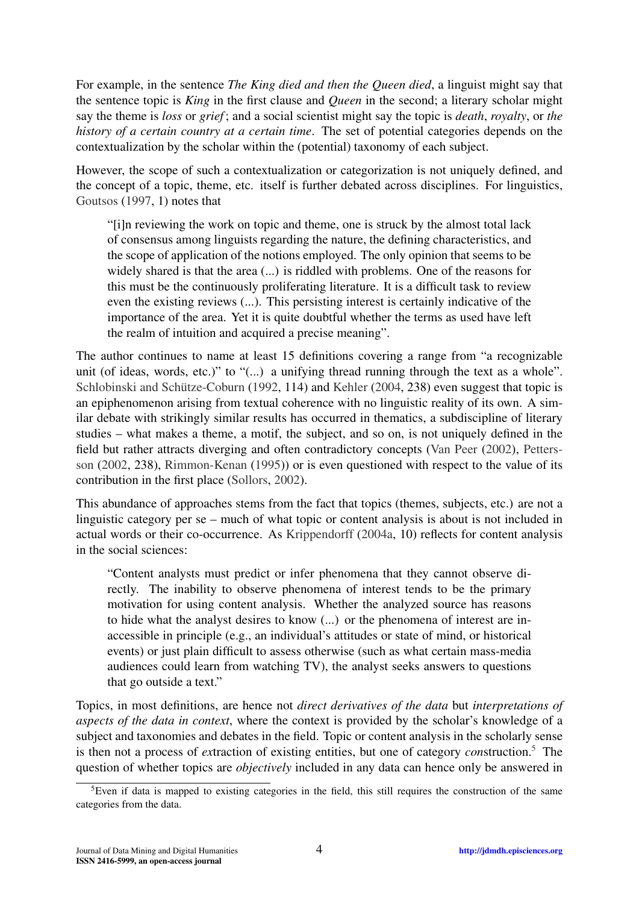For example, in the sentence *The King died and then the Queen died*, a linguist might say that the sentence topic is *King* in the first clause and *Queen* in the second; a literary scholar might say the theme is *loss* or *grief* ; and a social scientist might say the topic is *death*, *royalty*, or *the history of a certain country at a certain time*. The set of potential categories depends on the contextualization by the scholar within the (potential) taxonomy of each subject.

However, the scope of such a contextualization or categorization is not uniquely defined, and the concept of a topic, theme, etc. itself is further debated across disciplines. For linguistics, [Goutsos](#page-23-9) [\(1997,](#page-23-9) 1) notes that

"[i]n reviewing the work on topic and theme, one is struck by the almost total lack of consensus among linguists regarding the nature, the defining characteristics, and the scope of application of the notions employed. The only opinion that seems to be widely shared is that the area  $(...)$  is riddled with problems. One of the reasons for this must be the continuously proliferating literature. It is a difficult task to review even the existing reviews (...). This persisting interest is certainly indicative of the importance of the area. Yet it is quite doubtful whether the terms as used have left the realm of intuition and acquired a precise meaning".

The author continues to name at least 15 definitions covering a range from "a recognizable unit (of ideas, words, etc.)" to "(...) a unifying thread running through the text as a whole". Schlobinski and Schütze-Coburn [\(1992,](#page-26-15) 114) and [Kehler](#page-24-11) [\(2004,](#page-24-11) 238) even suggest that topic is an epiphenomenon arising from textual coherence with no linguistic reality of its own. A similar debate with strikingly similar results has occurred in thematics, a subdiscipline of literary studies – what makes a theme, a motif, the subject, and so on, is not uniquely defined in the field but rather attracts diverging and often contradictory concepts [\(Van Peer](#page-26-16) [\(2002\)](#page-26-16), [Petters](#page-25-11)[son](#page-25-11) [\(2002,](#page-25-11) 238), [Rimmon-Kenan](#page-25-12) [\(1995\)](#page-25-12)) or is even questioned with respect to the value of its contribution in the first place [\(Sollors,](#page-26-17) [2002\)](#page-26-17).

This abundance of approaches stems from the fact that topics (themes, subjects, etc.) are not a linguistic category per se – much of what topic or content analysis is about is not included in actual words or their co-occurrence. As [Krippendorff](#page-24-12) [\(2004a,](#page-24-12) 10) reflects for content analysis in the social sciences:

"Content analysts must predict or infer phenomena that they cannot observe directly. The inability to observe phenomena of interest tends to be the primary motivation for using content analysis. Whether the analyzed source has reasons to hide what the analyst desires to know (...) or the phenomena of interest are inaccessible in principle (e.g., an individual's attitudes or state of mind, or historical events) or just plain difficult to assess otherwise (such as what certain mass-media audiences could learn from watching TV), the analyst seeks answers to questions that go outside a text."

Topics, in most definitions, are hence not *direct derivatives of the data* but *interpretations of aspects of the data in context*, where the context is provided by the scholar's knowledge of a subject and taxonomies and debates in the field. Topic or content analysis in the scholarly sense is then not a process of *ex*traction of existing entities, but one of category *con*struction.[5](#page-3-0) The question of whether topics are *objectively* included in any data can hence only be answered in

<span id="page-3-0"></span><sup>&</sup>lt;sup>5</sup>Even if data is mapped to existing categories in the field, this still requires the construction of the same categories from the data.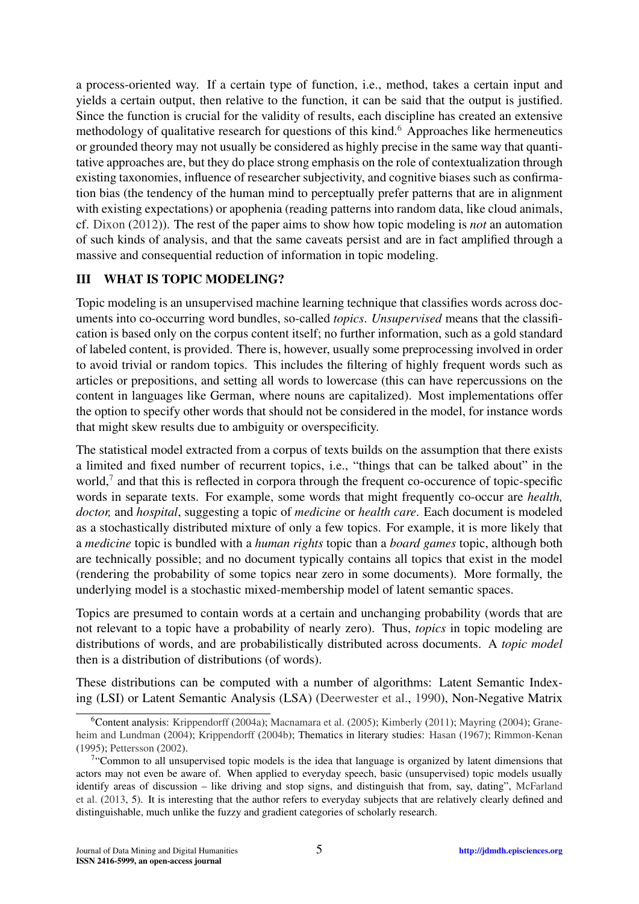a process-oriented way. If a certain type of function, i.e., method, takes a certain input and yields a certain output, then relative to the function, it can be said that the output is justified. Since the function is crucial for the validity of results, each discipline has created an extensive methodology of qualitative research for questions of this kind.<sup>[6](#page-4-1)</sup> Approaches like hermeneutics or grounded theory may not usually be considered as highly precise in the same way that quantitative approaches are, but they do place strong emphasis on the role of contextualization through existing taxonomies, influence of researcher subjectivity, and cognitive biases such as confirmation bias (the tendency of the human mind to perceptually prefer patterns that are in alignment with existing expectations) or apophenia (reading patterns into random data, like cloud animals, cf. [Dixon](#page-23-10) [\(2012\)](#page-23-10)). The rest of the paper aims to show how topic modeling is *not* an automation of such kinds of analysis, and that the same caveats persist and are in fact amplified through a massive and consequential reduction of information in topic modeling.

## <span id="page-4-0"></span>III WHAT IS TOPIC MODELING?

Topic modeling is an unsupervised machine learning technique that classifies words across documents into co-occurring word bundles, so-called *topics*. *Unsupervised* means that the classification is based only on the corpus content itself; no further information, such as a gold standard of labeled content, is provided. There is, however, usually some preprocessing involved in order to avoid trivial or random topics. This includes the filtering of highly frequent words such as articles or prepositions, and setting all words to lowercase (this can have repercussions on the content in languages like German, where nouns are capitalized). Most implementations offer the option to specify other words that should not be considered in the model, for instance words that might skew results due to ambiguity or overspecificity.

The statistical model extracted from a corpus of texts builds on the assumption that there exists a limited and fixed number of recurrent topics, i.e., "things that can be talked about" in the world,<sup>[7](#page-4-2)</sup> and that this is reflected in corpora through the frequent co-occurence of topic-specific words in separate texts. For example, some words that might frequently co-occur are *health, doctor,* and *hospital*, suggesting a topic of *medicine* or *health care*. Each document is modeled as a stochastically distributed mixture of only a few topics. For example, it is more likely that a *medicine* topic is bundled with a *human rights* topic than a *board games* topic, although both are technically possible; and no document typically contains all topics that exist in the model (rendering the probability of some topics near zero in some documents). More formally, the underlying model is a stochastic mixed-membership model of latent semantic spaces.

Topics are presumed to contain words at a certain and unchanging probability (words that are not relevant to a topic have a probability of nearly zero). Thus, *topics* in topic modeling are distributions of words, and are probabilistically distributed across documents. A *topic model* then is a distribution of distributions (of words).

These distributions can be computed with a number of algorithms: Latent Semantic Indexing (LSI) or Latent Semantic Analysis (LSA) [\(Deerwester et al.,](#page-23-11) [1990\)](#page-23-11), Non-Negative Matrix

<span id="page-4-1"></span><sup>&</sup>lt;sup>6</sup>Content analysis: [Krippendorff](#page-24-12) [\(2004a\)](#page-24-12); [Macnamara et al.](#page-25-13) [\(2005\)](#page-25-13); [Kimberly](#page-24-13) [\(2011\)](#page-24-13); [Mayring](#page-25-14) [\(2004\)](#page-25-14); [Grane](#page-23-12)[heim and Lundman](#page-23-12) [\(2004\)](#page-23-12); [Krippendorff](#page-24-14) [\(2004b\)](#page-24-14); Thematics in literary studies: [Hasan](#page-24-15) [\(1967\)](#page-24-15); [Rimmon-Kenan](#page-25-12) [\(1995\)](#page-25-12); [Pettersson](#page-25-11) [\(2002\)](#page-25-11).

<span id="page-4-2"></span><sup>&</sup>lt;sup>7</sup>"Common to all unsupervised topic models is the idea that language is organized by latent dimensions that actors may not even be aware of. When applied to everyday speech, basic (unsupervised) topic models usually identify areas of discussion – like driving and stop signs, and distinguish that from, say, dating", [McFarland](#page-25-10) [et al.](#page-25-10) [\(2013,](#page-25-10) 5). It is interesting that the author refers to everyday subjects that are relatively clearly defined and distinguishable, much unlike the fuzzy and gradient categories of scholarly research.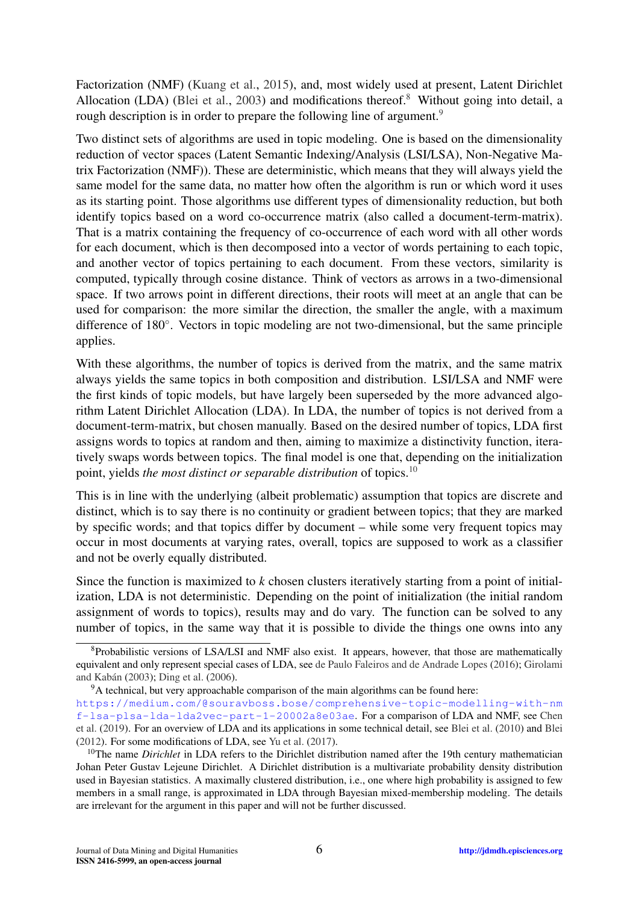Factorization (NMF) [\(Kuang et al.,](#page-24-16) [2015\)](#page-24-16), and, most widely used at present, Latent Dirichlet Allocation (LDA) [\(Blei et al.,](#page-22-13) [2003\)](#page-22-13) and modifications thereof.<sup>[8](#page-5-0)</sup> Without going into detail, a rough description is in order to prepare the following line of argument.<sup>[9](#page-5-1)</sup>

Two distinct sets of algorithms are used in topic modeling. One is based on the dimensionality reduction of vector spaces (Latent Semantic Indexing/Analysis (LSI/LSA), Non-Negative Matrix Factorization (NMF)). These are deterministic, which means that they will always yield the same model for the same data, no matter how often the algorithm is run or which word it uses as its starting point. Those algorithms use different types of dimensionality reduction, but both identify topics based on a word co-occurrence matrix (also called a document-term-matrix). That is a matrix containing the frequency of co-occurrence of each word with all other words for each document, which is then decomposed into a vector of words pertaining to each topic, and another vector of topics pertaining to each document. From these vectors, similarity is computed, typically through cosine distance. Think of vectors as arrows in a two-dimensional space. If two arrows point in different directions, their roots will meet at an angle that can be used for comparison: the more similar the direction, the smaller the angle, with a maximum difference of 180◦ . Vectors in topic modeling are not two-dimensional, but the same principle applies.

With these algorithms, the number of topics is derived from the matrix, and the same matrix always yields the same topics in both composition and distribution. LSI/LSA and NMF were the first kinds of topic models, but have largely been superseded by the more advanced algorithm Latent Dirichlet Allocation (LDA). In LDA, the number of topics is not derived from a document-term-matrix, but chosen manually. Based on the desired number of topics, LDA first assigns words to topics at random and then, aiming to maximize a distinctivity function, iteratively swaps words between topics. The final model is one that, depending on the initialization point, yields *the most distinct or separable distribution* of topics.[10](#page-5-2)

This is in line with the underlying (albeit problematic) assumption that topics are discrete and distinct, which is to say there is no continuity or gradient between topics; that they are marked by specific words; and that topics differ by document – while some very frequent topics may occur in most documents at varying rates, overall, topics are supposed to work as a classifier and not be overly equally distributed.

Since the function is maximized to *k* chosen clusters iteratively starting from a point of initialization, LDA is not deterministic. Depending on the point of initialization (the initial random assignment of words to topics), results may and do vary. The function can be solved to any number of topics, in the same way that it is possible to divide the things one owns into any

<span id="page-5-0"></span><sup>&</sup>lt;sup>8</sup>Probabilistic versions of LSA/LSI and NMF also exist. It appears, however, that those are mathematically equivalent and only represent special cases of LDA, see [de Paulo Faleiros and de Andrade Lopes](#page-23-13) [\(2016\)](#page-23-13); [Girolami](#page-23-14) and Kabán [\(2003\)](#page-23-14); [Ding et al.](#page-23-15) [\(2006\)](#page-23-15).

<span id="page-5-1"></span><sup>9</sup>A technical, but very approachable comparison of the main algorithms can be found here: [https://medium.com/@souravboss.bose/comprehensive-topic-modelling-with-nm](https://medium.com/@souravboss.bose/comprehensive-topic-modelling-with-nmf-lsa-plsa-lda-lda2vec-part-1-20002a8e03ae) [f-lsa-plsa-lda-lda2vec-part-1-20002a8e03ae](https://medium.com/@souravboss.bose/comprehensive-topic-modelling-with-nmf-lsa-plsa-lda-lda2vec-part-1-20002a8e03ae). For a comparison of LDA and NMF, see [Chen](#page-23-16) [et al.](#page-23-16) [\(2019\)](#page-23-16). For an overview of LDA and its applications in some technical detail, see [Blei et al.](#page-22-14) [\(2010\)](#page-22-14) and [Blei](#page-22-15) [\(2012\)](#page-22-15). For some modifications of LDA, see [Yu et al.](#page-27-2) [\(2017\)](#page-27-2).

<span id="page-5-2"></span><sup>&</sup>lt;sup>10</sup>The name *Dirichlet* in LDA refers to the Dirichlet distribution named after the 19th century mathematician Johan Peter Gustav Lejeune Dirichlet. A Dirichlet distribution is a multivariate probability density distribution used in Bayesian statistics. A maximally clustered distribution, i.e., one where high probability is assigned to few members in a small range, is approximated in LDA through Bayesian mixed-membership modeling. The details are irrelevant for the argument in this paper and will not be further discussed.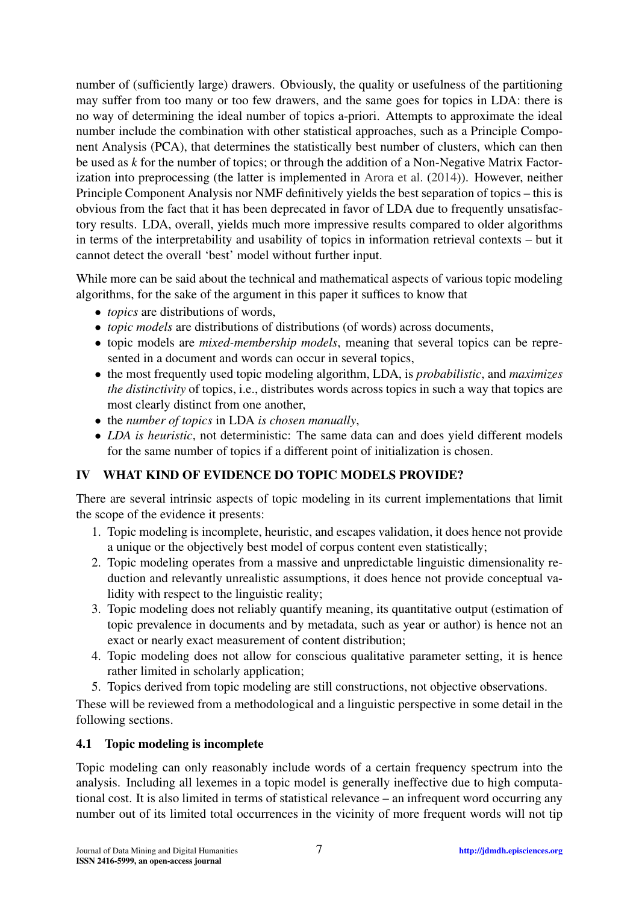number of (sufficiently large) drawers. Obviously, the quality or usefulness of the partitioning may suffer from too many or too few drawers, and the same goes for topics in LDA: there is no way of determining the ideal number of topics a-priori. Attempts to approximate the ideal number include the combination with other statistical approaches, such as a Principle Component Analysis (PCA), that determines the statistically best number of clusters, which can then be used as *k* for the number of topics; or through the addition of a Non-Negative Matrix Factorization into preprocessing (the latter is implemented in [Arora et al.](#page-22-16) [\(2014\)](#page-22-16)). However, neither Principle Component Analysis nor NMF definitively yields the best separation of topics – this is obvious from the fact that it has been deprecated in favor of LDA due to frequently unsatisfactory results. LDA, overall, yields much more impressive results compared to older algorithms in terms of the interpretability and usability of topics in information retrieval contexts – but it cannot detect the overall 'best' model without further input.

While more can be said about the technical and mathematical aspects of various topic modeling algorithms, for the sake of the argument in this paper it suffices to know that

- *topics* are distributions of words,
- *topic models* are distributions of distributions (of words) across documents,
- topic models are *mixed-membership models*, meaning that several topics can be represented in a document and words can occur in several topics,
- the most frequently used topic modeling algorithm, LDA, is *probabilistic*, and *maximizes the distinctivity* of topics, i.e., distributes words across topics in such a way that topics are most clearly distinct from one another,
- the *number of topics* in LDA *is chosen manually*,
- *LDA is heuristic*, not deterministic: The same data can and does yield different models for the same number of topics if a different point of initialization is chosen.

## <span id="page-6-0"></span>IV WHAT KIND OF EVIDENCE DO TOPIC MODELS PROVIDE?

There are several intrinsic aspects of topic modeling in its current implementations that limit the scope of the evidence it presents:

- 1. Topic modeling is incomplete, heuristic, and escapes validation, it does hence not provide a unique or the objectively best model of corpus content even statistically;
- 2. Topic modeling operates from a massive and unpredictable linguistic dimensionality reduction and relevantly unrealistic assumptions, it does hence not provide conceptual validity with respect to the linguistic reality;
- 3. Topic modeling does not reliably quantify meaning, its quantitative output (estimation of topic prevalence in documents and by metadata, such as year or author) is hence not an exact or nearly exact measurement of content distribution;
- 4. Topic modeling does not allow for conscious qualitative parameter setting, it is hence rather limited in scholarly application;
- 5. Topics derived from topic modeling are still constructions, not objective observations.

These will be reviewed from a methodological and a linguistic perspective in some detail in the following sections.

### 4.1 Topic modeling is incomplete

Topic modeling can only reasonably include words of a certain frequency spectrum into the analysis. Including all lexemes in a topic model is generally ineffective due to high computational cost. It is also limited in terms of statistical relevance – an infrequent word occurring any number out of its limited total occurrences in the vicinity of more frequent words will not tip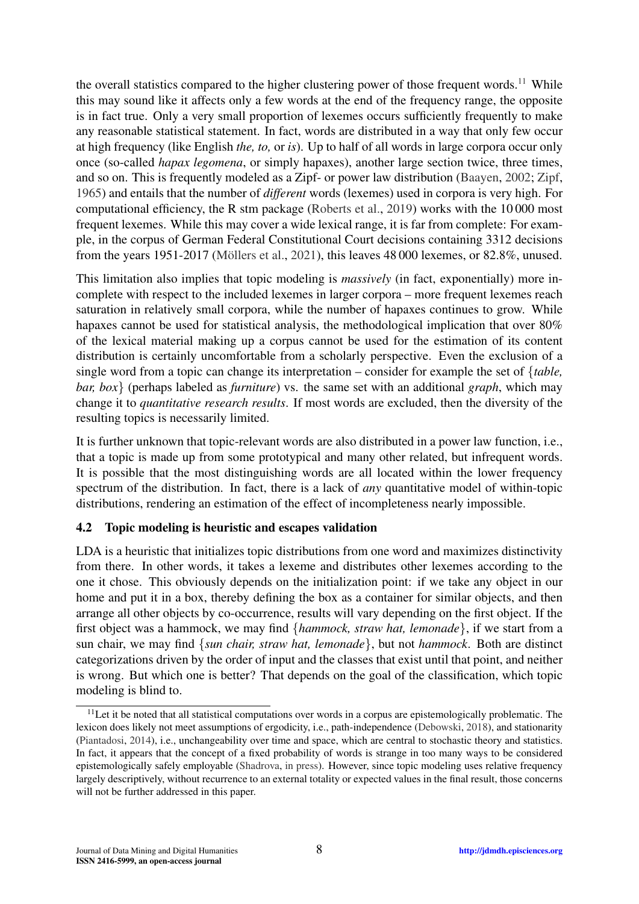the overall statistics compared to the higher clustering power of those frequent words.<sup>[11](#page-7-0)</sup> While this may sound like it affects only a few words at the end of the frequency range, the opposite is in fact true. Only a very small proportion of lexemes occurs sufficiently frequently to make any reasonable statistical statement. In fact, words are distributed in a way that only few occur at high frequency (like English *the, to,* or *is*). Up to half of all words in large corpora occur only once (so-called *hapax legomena*, or simply hapaxes), another large section twice, three times, and so on. This is frequently modeled as a Zipf- or power law distribution [\(Baayen,](#page-22-17) [2002;](#page-22-17) [Zipf,](#page-27-3) [1965\)](#page-27-3) and entails that the number of *different* words (lexemes) used in corpora is very high. For computational efficiency, the R stm package [\(Roberts et al.,](#page-25-0) [2019\)](#page-25-0) works with the 10 000 most frequent lexemes. While this may cover a wide lexical range, it is far from complete: For example, in the corpus of German Federal Constitutional Court decisions containing 3312 decisions from the years  $1951-2017$  (Möllers et al.,  $2021$ ), this leaves  $48\,000$  lexemes, or  $82.8\%$ , unused.

This limitation also implies that topic modeling is *massively* (in fact, exponentially) more incomplete with respect to the included lexemes in larger corpora – more frequent lexemes reach saturation in relatively small corpora, while the number of hapaxes continues to grow. While hapaxes cannot be used for statistical analysis, the methodological implication that over 80% of the lexical material making up a corpus cannot be used for the estimation of its content distribution is certainly uncomfortable from a scholarly perspective. Even the exclusion of a single word from a topic can change its interpretation – consider for example the set of {*table, bar, box*} (perhaps labeled as *furniture*) vs. the same set with an additional *graph*, which may change it to *quantitative research results*. If most words are excluded, then the diversity of the resulting topics is necessarily limited.

It is further unknown that topic-relevant words are also distributed in a power law function, i.e., that a topic is made up from some prototypical and many other related, but infrequent words. It is possible that the most distinguishing words are all located within the lower frequency spectrum of the distribution. In fact, there is a lack of *any* quantitative model of within-topic distributions, rendering an estimation of the effect of incompleteness nearly impossible.

### 4.2 Topic modeling is heuristic and escapes validation

LDA is a heuristic that initializes topic distributions from one word and maximizes distinctivity from there. In other words, it takes a lexeme and distributes other lexemes according to the one it chose. This obviously depends on the initialization point: if we take any object in our home and put it in a box, thereby defining the box as a container for similar objects, and then arrange all other objects by co-occurrence, results will vary depending on the first object. If the first object was a hammock, we may find {*hammock, straw hat, lemonade*}, if we start from a sun chair, we may find {*sun chair, straw hat, lemonade*}, but not *hammock*. Both are distinct categorizations driven by the order of input and the classes that exist until that point, and neither is wrong. But which one is better? That depends on the goal of the classification, which topic modeling is blind to.

<span id="page-7-0"></span> $11$ Let it be noted that all statistical computations over words in a corpus are epistemologically problematic. The lexicon does likely not meet assumptions of ergodicity, i.e., path-independence [\(Debowski,](#page-23-17) [2018\)](#page-23-17), and stationarity [\(Piantadosi,](#page-25-16) [2014\)](#page-25-16), i.e., unchangeability over time and space, which are central to stochastic theory and statistics. In fact, it appears that the concept of a fixed probability of words is strange in too many ways to be considered epistemologically safely employable [\(Shadrova,](#page-26-18) [in press\)](#page-26-18). However, since topic modeling uses relative frequency largely descriptively, without recurrence to an external totality or expected values in the final result, those concerns will not be further addressed in this paper.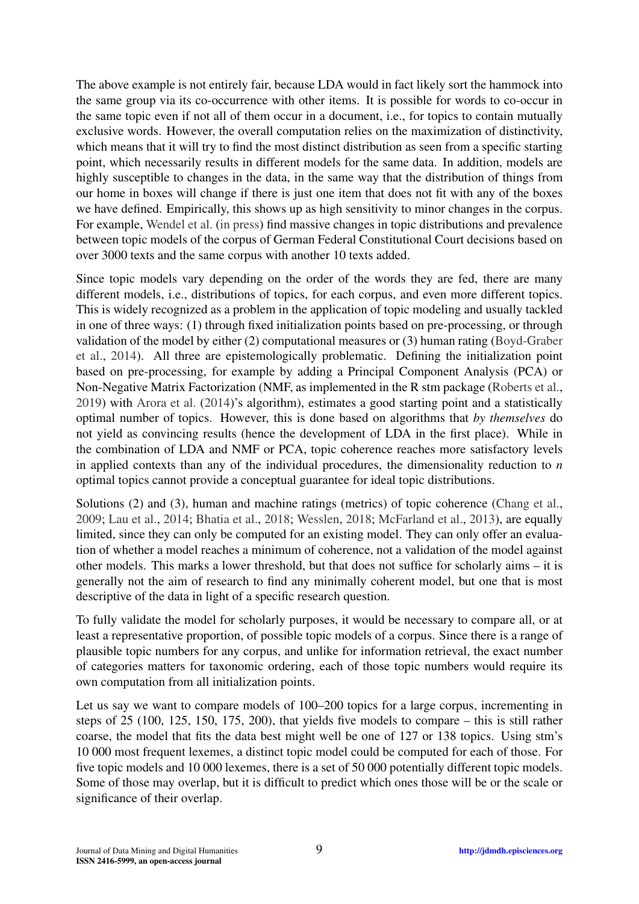The above example is not entirely fair, because LDA would in fact likely sort the hammock into the same group via its co-occurrence with other items. It is possible for words to co-occur in the same topic even if not all of them occur in a document, i.e., for topics to contain mutually exclusive words. However, the overall computation relies on the maximization of distinctivity, which means that it will try to find the most distribution as seen from a specific starting point, which necessarily results in different models for the same data. In addition, models are highly susceptible to changes in the data, in the same way that the distribution of things from our home in boxes will change if there is just one item that does not fit with any of the boxes we have defined. Empirically, this shows up as high sensitivity to minor changes in the corpus. For example, [Wendel et al.](#page-26-19) [\(in press\)](#page-26-19) find massive changes in topic distributions and prevalence between topic models of the corpus of German Federal Constitutional Court decisions based on over 3000 texts and the same corpus with another 10 texts added.

Since topic models vary depending on the order of the words they are fed, there are many different models, i.e., distributions of topics, for each corpus, and even more different topics. This is widely recognized as a problem in the application of topic modeling and usually tackled in one of three ways: (1) through fixed initialization points based on pre-processing, or through validation of the model by either (2) computational measures or (3) human rating [\(Boyd-Graber](#page-22-11) [et al.,](#page-22-11) [2014\)](#page-22-11). All three are epistemologically problematic. Defining the initialization point based on pre-processing, for example by adding a Principal Component Analysis (PCA) or Non-Negative Matrix Factorization (NMF, as implemented in the R stm package [\(Roberts et al.,](#page-25-0) [2019\)](#page-25-0) with [Arora et al.](#page-22-16) [\(2014\)](#page-22-16)'s algorithm), estimates a good starting point and a statistically optimal number of topics. However, this is done based on algorithms that *by themselves* do not yield as convincing results (hence the development of LDA in the first place). While in the combination of LDA and NMF or PCA, topic coherence reaches more satisfactory levels in applied contexts than any of the individual procedures, the dimensionality reduction to *n* optimal topics cannot provide a conceptual guarantee for ideal topic distributions.

Solutions (2) and (3), human and machine ratings (metrics) of topic coherence [\(Chang et al.,](#page-22-9) [2009;](#page-22-9) [Lau et al.,](#page-24-17) [2014;](#page-24-17) [Bhatia et al.,](#page-22-18) [2018;](#page-22-18) [Wesslen,](#page-26-20) [2018;](#page-26-20) [McFarland et al.,](#page-25-10) [2013\)](#page-25-10), are equally limited, since they can only be computed for an existing model. They can only offer an evaluation of whether a model reaches a minimum of coherence, not a validation of the model against other models. This marks a lower threshold, but that does not suffice for scholarly aims – it is generally not the aim of research to find any minimally coherent model, but one that is most descriptive of the data in light of a specific research question.

To fully validate the model for scholarly purposes, it would be necessary to compare all, or at least a representative proportion, of possible topic models of a corpus. Since there is a range of plausible topic numbers for any corpus, and unlike for information retrieval, the exact number of categories matters for taxonomic ordering, each of those topic numbers would require its own computation from all initialization points.

Let us say we want to compare models of 100–200 topics for a large corpus, incrementing in steps of 25 (100, 125, 150, 175, 200), that yields five models to compare – this is still rather coarse, the model that fits the data best might well be one of 127 or 138 topics. Using stm's 10 000 most frequent lexemes, a distinct topic model could be computed for each of those. For five topic models and 10 000 lexemes, there is a set of 50 000 potentially different topic models. Some of those may overlap, but it is difficult to predict which ones those will be or the scale or significance of their overlap.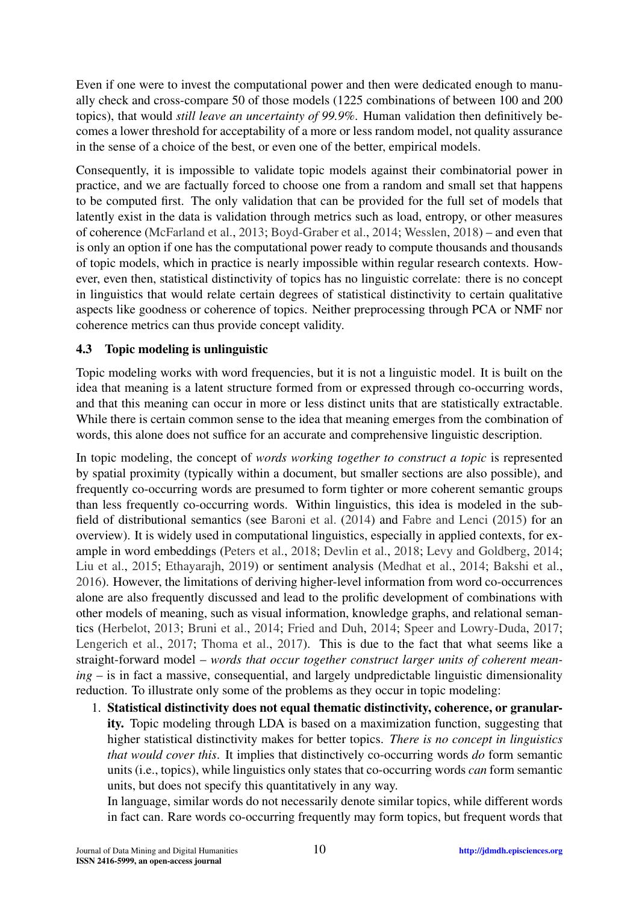Even if one were to invest the computational power and then were dedicated enough to manually check and cross-compare 50 of those models (1225 combinations of between 100 and 200 topics), that would *still leave an uncertainty of 99.9%*. Human validation then definitively becomes a lower threshold for acceptability of a more or less random model, not quality assurance in the sense of a choice of the best, or even one of the better, empirical models.

Consequently, it is impossible to validate topic models against their combinatorial power in practice, and we are factually forced to choose one from a random and small set that happens to be computed first. The only validation that can be provided for the full set of models that latently exist in the data is validation through metrics such as load, entropy, or other measures of coherence [\(McFarland et al.,](#page-25-10) [2013;](#page-25-10) [Boyd-Graber et al.,](#page-22-11) [2014;](#page-22-11) [Wesslen,](#page-26-20) [2018\)](#page-26-20) – and even that is only an option if one has the computational power ready to compute thousands and thousands of topic models, which in practice is nearly impossible within regular research contexts. However, even then, statistical distinctivity of topics has no linguistic correlate: there is no concept in linguistics that would relate certain degrees of statistical distinctivity to certain qualitative aspects like goodness or coherence of topics. Neither preprocessing through PCA or NMF nor coherence metrics can thus provide concept validity.

### 4.3 Topic modeling is unlinguistic

Topic modeling works with word frequencies, but it is not a linguistic model. It is built on the idea that meaning is a latent structure formed from or expressed through co-occurring words, and that this meaning can occur in more or less distinct units that are statistically extractable. While there is certain common sense to the idea that meaning emerges from the combination of words, this alone does not suffice for an accurate and comprehensive linguistic description.

In topic modeling, the concept of *words working together to construct a topic* is represented by spatial proximity (typically within a document, but smaller sections are also possible), and frequently co-occurring words are presumed to form tighter or more coherent semantic groups than less frequently co-occurring words. Within linguistics, this idea is modeled in the subfield of distributional semantics (see [Baroni et al.](#page-22-19) [\(2014\)](#page-22-19) and [Fabre and Lenci](#page-23-18) [\(2015\)](#page-23-18) for an overview). It is widely used in computational linguistics, especially in applied contexts, for example in word embeddings [\(Peters et al.,](#page-25-17) [2018;](#page-25-17) [Devlin et al.,](#page-23-19) [2018;](#page-23-19) [Levy and Goldberg,](#page-24-18) [2014;](#page-24-18) [Liu et al.,](#page-25-18) [2015;](#page-25-18) [Ethayarajh,](#page-23-20) [2019\)](#page-23-20) or sentiment analysis [\(Medhat et al.,](#page-25-19) [2014;](#page-25-19) [Bakshi et al.,](#page-22-20) [2016\)](#page-22-20). However, the limitations of deriving higher-level information from word co-occurrences alone are also frequently discussed and lead to the prolific development of combinations with other models of meaning, such as visual information, knowledge graphs, and relational semantics [\(Herbelot,](#page-24-19) [2013;](#page-24-19) [Bruni et al.,](#page-22-21) [2014;](#page-22-21) [Fried and Duh,](#page-23-21) [2014;](#page-23-21) [Speer and Lowry-Duda,](#page-26-21) [2017;](#page-26-21) [Lengerich et al.,](#page-24-20) [2017;](#page-24-20) [Thoma et al.,](#page-26-22) [2017\)](#page-26-22). This is due to the fact that what seems like a straight-forward model – *words that occur together construct larger units of coherent meaning* – is in fact a massive, consequential, and largely undpredictable linguistic dimensionality reduction. To illustrate only some of the problems as they occur in topic modeling:

1. Statistical distinctivity does not equal thematic distinctivity, coherence, or granularity. Topic modeling through LDA is based on a maximization function, suggesting that higher statistical distinctivity makes for better topics. *There is no concept in linguistics that would cover this*. It implies that distinctively co-occurring words *do* form semantic units (i.e., topics), while linguistics only states that co-occurring words *can* form semantic units, but does not specify this quantitatively in any way.

In language, similar words do not necessarily denote similar topics, while different words in fact can. Rare words co-occurring frequently may form topics, but frequent words that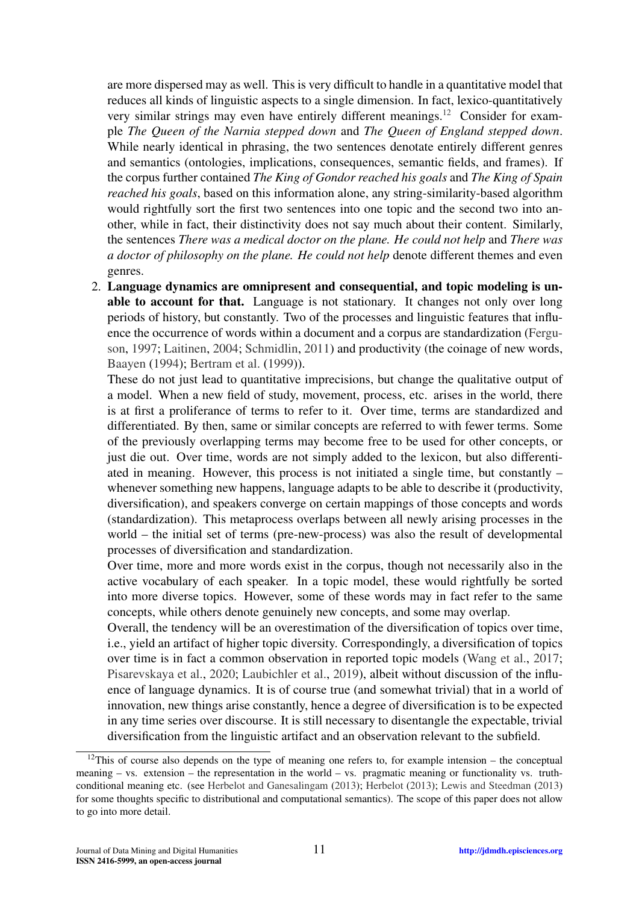are more dispersed may as well. This is very difficult to handle in a quantitative model that reduces all kinds of linguistic aspects to a single dimension. In fact, lexico-quantitatively very similar strings may even have entirely different meanings.[12](#page-10-0) Consider for example *The Queen of the Narnia stepped down* and *The Queen of England stepped down*. While nearly identical in phrasing, the two sentences denotate entirely different genres and semantics (ontologies, implications, consequences, semantic fields, and frames). If the corpus further contained *The King of Gondor reached his goals* and *The King of Spain reached his goals*, based on this information alone, any string-similarity-based algorithm would rightfully sort the first two sentences into one topic and the second two into another, while in fact, their distinctivity does not say much about their content. Similarly, the sentences *There was a medical doctor on the plane. He could not help* and *There was a doctor of philosophy on the plane. He could not help* denote different themes and even genres.

2. Language dynamics are omnipresent and consequential, and topic modeling is unable to account for that. Language is not stationary. It changes not only over long periods of history, but constantly. Two of the processes and linguistic features that influence the occurrence of words within a document and a corpus are standardization [\(Fergu](#page-23-22)[son,](#page-23-22) [1997;](#page-23-22) [Laitinen,](#page-24-21) [2004;](#page-24-21) [Schmidlin,](#page-26-23) [2011\)](#page-26-23) and productivity (the coinage of new words, [Baayen](#page-22-22) [\(1994\)](#page-22-22); [Bertram et al.](#page-22-23) [\(1999\)](#page-22-23)).

These do not just lead to quantitative imprecisions, but change the qualitative output of a model. When a new field of study, movement, process, etc. arises in the world, there is at first a proliferance of terms to refer to it. Over time, terms are standardized and differentiated. By then, same or similar concepts are referred to with fewer terms. Some of the previously overlapping terms may become free to be used for other concepts, or just die out. Over time, words are not simply added to the lexicon, but also differentiated in meaning. However, this process is not initiated a single time, but constantly – whenever something new happens, language adapts to be able to describe it (productivity, diversification), and speakers converge on certain mappings of those concepts and words (standardization). This metaprocess overlaps between all newly arising processes in the world – the initial set of terms (pre-new-process) was also the result of developmental processes of diversification and standardization.

Over time, more and more words exist in the corpus, though not necessarily also in the active vocabulary of each speaker. In a topic model, these would rightfully be sorted into more diverse topics. However, some of these words may in fact refer to the same concepts, while others denote genuinely new concepts, and some may overlap.

Overall, the tendency will be an overestimation of the diversification of topics over time, i.e., yield an artifact of higher topic diversity. Correspondingly, a diversification of topics over time is in fact a common observation in reported topic models [\(Wang et al.,](#page-26-9) [2017;](#page-26-9) [Pisarevskaya et al.,](#page-25-20) [2020;](#page-25-20) [Laubichler et al.,](#page-24-22) [2019\)](#page-24-22), albeit without discussion of the influence of language dynamics. It is of course true (and somewhat trivial) that in a world of innovation, new things arise constantly, hence a degree of diversification is to be expected in any time series over discourse. It is still necessary to disentangle the expectable, trivial diversification from the linguistic artifact and an observation relevant to the subfield.

<span id="page-10-0"></span> $12$ This of course also depends on the type of meaning one refers to, for example intension – the conceptual meaning – vs. extension – the representation in the world – vs. pragmatic meaning or functionality vs. truthconditional meaning etc. (see [Herbelot and Ganesalingam](#page-24-23) [\(2013\)](#page-24-23); [Herbelot](#page-24-19) [\(2013\)](#page-24-19); [Lewis and Steedman](#page-24-24) [\(2013\)](#page-24-24) for some thoughts specific to distributional and computational semantics). The scope of this paper does not allow to go into more detail.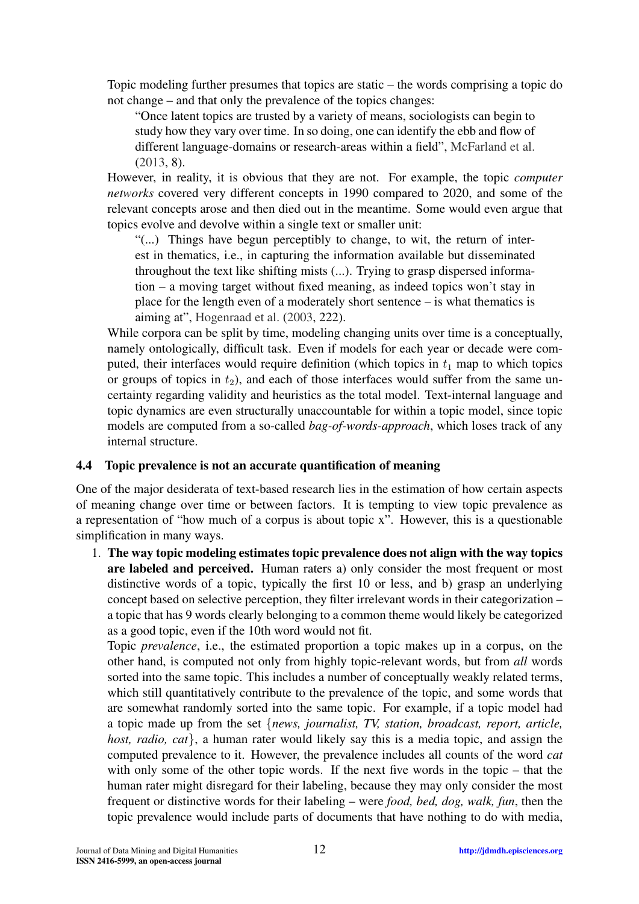Topic modeling further presumes that topics are static – the words comprising a topic do not change – and that only the prevalence of the topics changes:

"Once latent topics are trusted by a variety of means, sociologists can begin to study how they vary over time. In so doing, one can identify the ebb and flow of different language-domains or research-areas within a field", [McFarland et al.](#page-25-10) [\(2013,](#page-25-10) 8).

However, in reality, it is obvious that they are not. For example, the topic *computer networks* covered very different concepts in 1990 compared to 2020, and some of the relevant concepts arose and then died out in the meantime. Some would even argue that topics evolve and devolve within a single text or smaller unit:

"(...) Things have begun perceptibly to change, to wit, the return of interest in thematics, i.e., in capturing the information available but disseminated throughout the text like shifting mists (...). Trying to grasp dispersed information – a moving target without fixed meaning, as indeed topics won't stay in place for the length even of a moderately short sentence – is what thematics is aiming at", [Hogenraad et al.](#page-24-25) [\(2003,](#page-24-25) 222).

While corpora can be split by time, modeling changing units over time is a conceptually, namely ontologically, difficult task. Even if models for each year or decade were computed, their interfaces would require definition (which topics in  $t_1$  map to which topics or groups of topics in  $t_2$ ), and each of those interfaces would suffer from the same uncertainty regarding validity and heuristics as the total model. Text-internal language and topic dynamics are even structurally unaccountable for within a topic model, since topic models are computed from a so-called *bag-of-words-approach*, which loses track of any internal structure.

### 4.4 Topic prevalence is not an accurate quantification of meaning

One of the major desiderata of text-based research lies in the estimation of how certain aspects of meaning change over time or between factors. It is tempting to view topic prevalence as a representation of "how much of a corpus is about topic x". However, this is a questionable simplification in many ways.

1. The way topic modeling estimates topic prevalence does not align with the way topics are labeled and perceived. Human raters a) only consider the most frequent or most distinctive words of a topic, typically the first 10 or less, and b) grasp an underlying concept based on selective perception, they filter irrelevant words in their categorization – a topic that has 9 words clearly belonging to a common theme would likely be categorized as a good topic, even if the 10th word would not fit.

Topic *prevalence*, i.e., the estimated proportion a topic makes up in a corpus, on the other hand, is computed not only from highly topic-relevant words, but from *all* words sorted into the same topic. This includes a number of conceptually weakly related terms, which still quantitatively contribute to the prevalence of the topic, and some words that are somewhat randomly sorted into the same topic. For example, if a topic model had a topic made up from the set {*news, journalist, TV, station, broadcast, report, article, host, radio, cat*}, a human rater would likely say this is a media topic, and assign the computed prevalence to it. However, the prevalence includes all counts of the word *cat* with only some of the other topic words. If the next five words in the topic – that the human rater might disregard for their labeling, because they may only consider the most frequent or distinctive words for their labeling – were *food, bed, dog, walk, fun*, then the topic prevalence would include parts of documents that have nothing to do with media,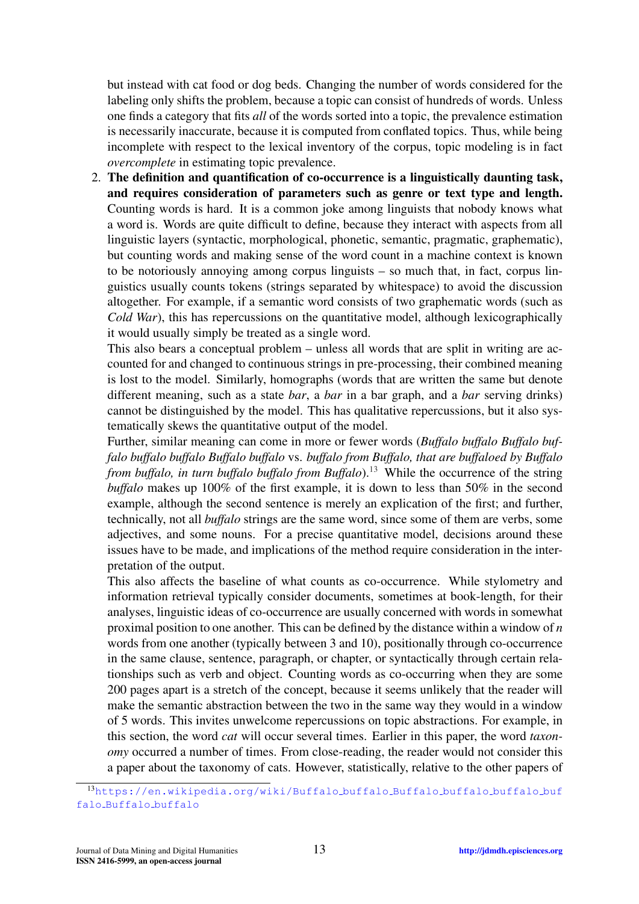but instead with cat food or dog beds. Changing the number of words considered for the labeling only shifts the problem, because a topic can consist of hundreds of words. Unless one finds a category that fits *all* of the words sorted into a topic, the prevalence estimation is necessarily inaccurate, because it is computed from conflated topics. Thus, while being incomplete with respect to the lexical inventory of the corpus, topic modeling is in fact *overcomplete* in estimating topic prevalence.

2. The definition and quantification of co-occurrence is a linguistically daunting task, and requires consideration of parameters such as genre or text type and length. Counting words is hard. It is a common joke among linguists that nobody knows what a word is. Words are quite difficult to define, because they interact with aspects from all linguistic layers (syntactic, morphological, phonetic, semantic, pragmatic, graphematic), but counting words and making sense of the word count in a machine context is known to be notoriously annoying among corpus linguists – so much that, in fact, corpus linguistics usually counts tokens (strings separated by whitespace) to avoid the discussion altogether. For example, if a semantic word consists of two graphematic words (such as *Cold War*), this has repercussions on the quantitative model, although lexicographically it would usually simply be treated as a single word.

This also bears a conceptual problem – unless all words that are split in writing are accounted for and changed to continuous strings in pre-processing, their combined meaning is lost to the model. Similarly, homographs (words that are written the same but denote different meaning, such as a state *bar*, a *bar* in a bar graph, and a *bar* serving drinks) cannot be distinguished by the model. This has qualitative repercussions, but it also systematically skews the quantitative output of the model.

Further, similar meaning can come in more or fewer words (*Buffalo buffalo Buffalo buffalo buffalo buffalo Buffalo buffalo* vs. *buffalo from Buffalo, that are buffaloed by Buffalo from buffalo, in turn buffalo buffalo from Buffalo*).<sup>[13](#page-12-0)</sup> While the occurrence of the string *buffalo* makes up 100% of the first example, it is down to less than 50% in the second example, although the second sentence is merely an explication of the first; and further, technically, not all *buffalo* strings are the same word, since some of them are verbs, some adjectives, and some nouns. For a precise quantitative model, decisions around these issues have to be made, and implications of the method require consideration in the interpretation of the output.

This also affects the baseline of what counts as co-occurrence. While stylometry and information retrieval typically consider documents, sometimes at book-length, for their analyses, linguistic ideas of co-occurrence are usually concerned with words in somewhat proximal position to one another. This can be defined by the distance within a window of *n* words from one another (typically between 3 and 10), positionally through co-occurrence in the same clause, sentence, paragraph, or chapter, or syntactically through certain relationships such as verb and object. Counting words as co-occurring when they are some 200 pages apart is a stretch of the concept, because it seems unlikely that the reader will make the semantic abstraction between the two in the same way they would in a window of 5 words. This invites unwelcome repercussions on topic abstractions. For example, in this section, the word *cat* will occur several times. Earlier in this paper, the word *taxonomy* occurred a number of times. From close-reading, the reader would not consider this a paper about the taxonomy of cats. However, statistically, relative to the other papers of

<span id="page-12-0"></span><sup>13</sup>[https://en.wikipedia.org/wiki/Buffalo](https://en.wikipedia.org/wiki/Buffalo_buffalo_Buffalo_buffalo_buffalo_buffalo_Buffalo_buffalo) buffalo Buffalo buffalo buffalo buf falo [Buffalo](https://en.wikipedia.org/wiki/Buffalo_buffalo_Buffalo_buffalo_buffalo_buffalo_Buffalo_buffalo) buffalo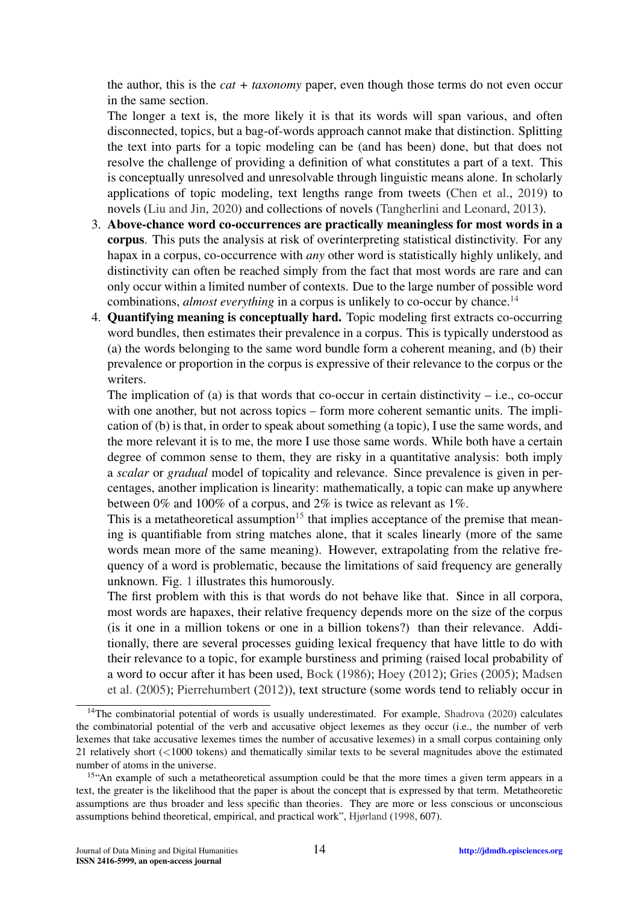the author, this is the *cat + taxonomy* paper, even though those terms do not even occur in the same section.

The longer a text is, the more likely it is that its words will span various, and often disconnected, topics, but a bag-of-words approach cannot make that distinction. Splitting the text into parts for a topic modeling can be (and has been) done, but that does not resolve the challenge of providing a definition of what constitutes a part of a text. This is conceptually unresolved and unresolvable through linguistic means alone. In scholarly applications of topic modeling, text lengths range from tweets [\(Chen et al.,](#page-23-16) [2019\)](#page-23-16) to novels [\(Liu and Jin,](#page-24-6) [2020\)](#page-24-6) and collections of novels [\(Tangherlini and Leonard,](#page-26-4) [2013\)](#page-26-4).

- 3. Above-chance word co-occurrences are practically meaningless for most words in a corpus. This puts the analysis at risk of overinterpreting statistical distinctivity. For any hapax in a corpus, co-occurrence with *any* other word is statistically highly unlikely, and distinctivity can often be reached simply from the fact that most words are rare and can only occur within a limited number of contexts. Due to the large number of possible word combinations, *almost everything* in a corpus is unlikely to co-occur by chance.<sup>[14](#page-13-0)</sup>
- 4. Quantifying meaning is conceptually hard. Topic modeling first extracts co-occurring word bundles, then estimates their prevalence in a corpus. This is typically understood as (a) the words belonging to the same word bundle form a coherent meaning, and (b) their prevalence or proportion in the corpus is expressive of their relevance to the corpus or the writers.

The implication of (a) is that words that co-occur in certain distinctivity  $-$  i.e., co-occur with one another, but not across topics – form more coherent semantic units. The implication of (b) is that, in order to speak about something (a topic), I use the same words, and the more relevant it is to me, the more I use those same words. While both have a certain degree of common sense to them, they are risky in a quantitative analysis: both imply a *scalar* or *gradual* model of topicality and relevance. Since prevalence is given in percentages, another implication is linearity: mathematically, a topic can make up anywhere between 0% and 100% of a corpus, and 2% is twice as relevant as 1%.

This is a metatheoretical assumption<sup>[15](#page-13-1)</sup> that implies acceptance of the premise that meaning is quantifiable from string matches alone, that it scales linearly (more of the same words mean more of the same meaning). However, extrapolating from the relative frequency of a word is problematic, because the limitations of said frequency are generally unknown. Fig. [1](#page-14-0) illustrates this humorously.

The first problem with this is that words do not behave like that. Since in all corpora, most words are hapaxes, their relative frequency depends more on the size of the corpus (is it one in a million tokens or one in a billion tokens?) than their relevance. Additionally, there are several processes guiding lexical frequency that have little to do with their relevance to a topic, for example burstiness and priming (raised local probability of a word to occur after it has been used, [Bock](#page-22-24) [\(1986\)](#page-22-24); [Hoey](#page-24-26) [\(2012\)](#page-24-26); [Gries](#page-23-23) [\(2005\)](#page-23-23); [Madsen](#page-25-21) [et al.](#page-25-21) [\(2005\)](#page-25-21); [Pierrehumbert](#page-25-22) [\(2012\)](#page-25-22)), text structure (some words tend to reliably occur in

<span id="page-13-0"></span><sup>&</sup>lt;sup>14</sup>The combinatorial potential of words is usually underestimated. For example, [Shadrova](#page-26-24) [\(2020\)](#page-26-24) calculates the combinatorial potential of the verb and accusative object lexemes as they occur (i.e., the number of verb lexemes that take accusative lexemes times the number of accusative lexemes) in a small corpus containing only 21 relatively short (<1000 tokens) and thematically similar texts to be several magnitudes above the estimated number of atoms in the universe.

<span id="page-13-1"></span><sup>&</sup>lt;sup>15"</sup>An example of such a metatheoretical assumption could be that the more times a given term appears in a text, the greater is the likelihood that the paper is about the concept that is expressed by that term. Metatheoretic assumptions are thus broader and less specific than theories. They are more or less conscious or unconscious assumptions behind theoretical, empirical, and practical work", [Hjørland](#page-24-27) [\(1998,](#page-24-27) 607).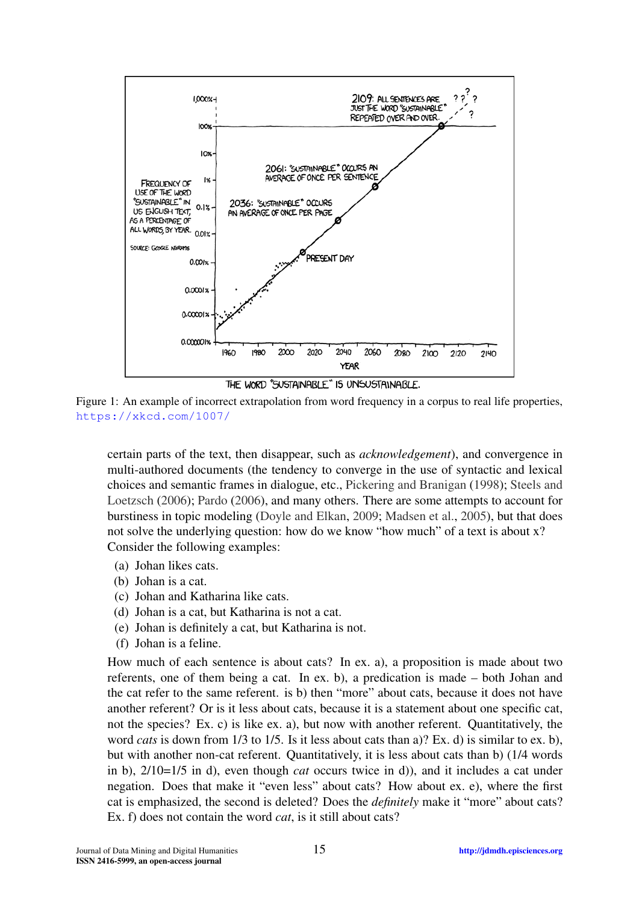<span id="page-14-0"></span>

THE WORD "SUSTAINARI E" IS UNSUSTAINABLE.

Figure 1: An example of incorrect extrapolation from word frequency in a corpus to real life properties, <https://xkcd.com/1007/>

certain parts of the text, then disappear, such as *acknowledgement*), and convergence in multi-authored documents (the tendency to converge in the use of syntactic and lexical choices and semantic frames in dialogue, etc., [Pickering and Branigan](#page-25-23) [\(1998\)](#page-25-23); [Steels and](#page-26-25) [Loetzsch](#page-26-25) [\(2006\)](#page-26-25); [Pardo](#page-25-24) [\(2006\)](#page-25-24), and many others. There are some attempts to account for burstiness in topic modeling [\(Doyle and Elkan,](#page-23-24) [2009;](#page-23-24) [Madsen et al.,](#page-25-21) [2005\)](#page-25-21), but that does not solve the underlying question: how do we know "how much" of a text is about x? Consider the following examples:

- (a) Johan likes cats.
- (b) Johan is a cat.
- (c) Johan and Katharina like cats.
- (d) Johan is a cat, but Katharina is not a cat.
- (e) Johan is definitely a cat, but Katharina is not.
- (f) Johan is a feline.

How much of each sentence is about cats? In ex. a), a proposition is made about two referents, one of them being a cat. In ex. b), a predication is made – both Johan and the cat refer to the same referent. is b) then "more" about cats, because it does not have another referent? Or is it less about cats, because it is a statement about one specific cat, not the species? Ex. c) is like ex. a), but now with another referent. Quantitatively, the word *cats* is down from 1/3 to 1/5. Is it less about cats than a)? Ex. d) is similar to ex. b), but with another non-cat referent. Quantitatively, it is less about cats than b) (1/4 words in b), 2/10=1/5 in d), even though *cat* occurs twice in d)), and it includes a cat under negation. Does that make it "even less" about cats? How about ex. e), where the first cat is emphasized, the second is deleted? Does the *definitely* make it "more" about cats? Ex. f) does not contain the word *cat*, is it still about cats?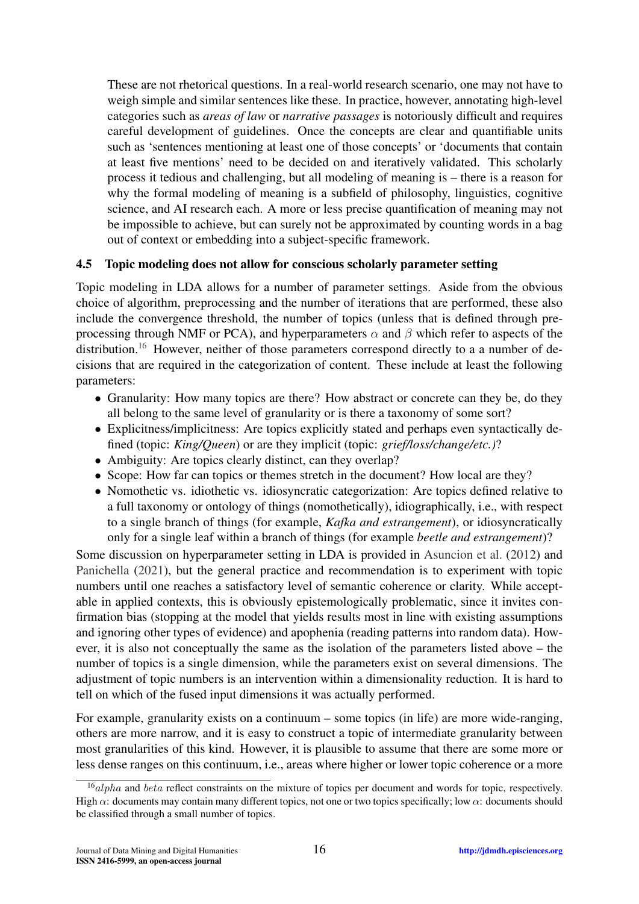These are not rhetorical questions. In a real-world research scenario, one may not have to weigh simple and similar sentences like these. In practice, however, annotating high-level categories such as *areas of law* or *narrative passages* is notoriously difficult and requires careful development of guidelines. Once the concepts are clear and quantifiable units such as 'sentences mentioning at least one of those concepts' or 'documents that contain at least five mentions' need to be decided on and iteratively validated. This scholarly process it tedious and challenging, but all modeling of meaning is – there is a reason for why the formal modeling of meaning is a subfield of philosophy, linguistics, cognitive science, and AI research each. A more or less precise quantification of meaning may not be impossible to achieve, but can surely not be approximated by counting words in a bag out of context or embedding into a subject-specific framework.

### 4.5 Topic modeling does not allow for conscious scholarly parameter setting

Topic modeling in LDA allows for a number of parameter settings. Aside from the obvious choice of algorithm, preprocessing and the number of iterations that are performed, these also include the convergence threshold, the number of topics (unless that is defined through preprocessing through NMF or PCA), and hyperparameters  $\alpha$  and  $\beta$  which refer to aspects of the distribution.<sup>[16](#page-15-0)</sup> However, neither of those parameters correspond directly to a a number of decisions that are required in the categorization of content. These include at least the following parameters:

- Granularity: How many topics are there? How abstract or concrete can they be, do they all belong to the same level of granularity or is there a taxonomy of some sort?
- Explicitness/implicitness: Are topics explicitly stated and perhaps even syntactically defined (topic: *King/Queen*) or are they implicit (topic: *grief/loss/change/etc.)*?
- Ambiguity: Are topics clearly distinct, can they overlap?
- Scope: How far can topics or themes stretch in the document? How local are they?
- Nomothetic vs. idiothetic vs. idiosyncratic categorization: Are topics defined relative to a full taxonomy or ontology of things (nomothetically), idiographically, i.e., with respect to a single branch of things (for example, *Kafka and estrangement*), or idiosyncratically only for a single leaf within a branch of things (for example *beetle and estrangement*)?

Some discussion on hyperparameter setting in LDA is provided in [Asuncion et al.](#page-22-25) [\(2012\)](#page-22-25) and [Panichella](#page-25-25) [\(2021\)](#page-25-25), but the general practice and recommendation is to experiment with topic numbers until one reaches a satisfactory level of semantic coherence or clarity. While acceptable in applied contexts, this is obviously epistemologically problematic, since it invites confirmation bias (stopping at the model that yields results most in line with existing assumptions and ignoring other types of evidence) and apophenia (reading patterns into random data). However, it is also not conceptually the same as the isolation of the parameters listed above – the number of topics is a single dimension, while the parameters exist on several dimensions. The adjustment of topic numbers is an intervention within a dimensionality reduction. It is hard to tell on which of the fused input dimensions it was actually performed.

For example, granularity exists on a continuum – some topics (in life) are more wide-ranging, others are more narrow, and it is easy to construct a topic of intermediate granularity between most granularities of this kind. However, it is plausible to assume that there are some more or less dense ranges on this continuum, i.e., areas where higher or lower topic coherence or a more

<span id="page-15-0"></span><sup>&</sup>lt;sup>16</sup>alpha and beta reflect constraints on the mixture of topics per document and words for topic, respectively. High  $\alpha$ : documents may contain many different topics, not one or two topics specifically; low  $\alpha$ : documents should be classified through a small number of topics.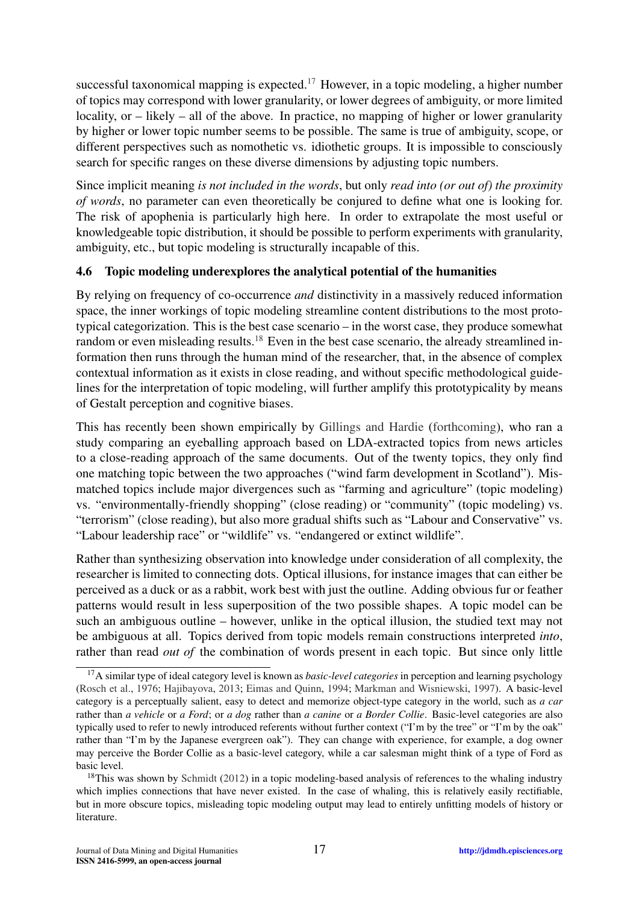successful taxonomical mapping is expected.<sup>[17](#page-16-0)</sup> However, in a topic modeling, a higher number of topics may correspond with lower granularity, or lower degrees of ambiguity, or more limited locality, or – likely – all of the above. In practice, no mapping of higher or lower granularity by higher or lower topic number seems to be possible. The same is true of ambiguity, scope, or different perspectives such as nomothetic vs. idiothetic groups. It is impossible to consciously search for specific ranges on these diverse dimensions by adjusting topic numbers.

Since implicit meaning *is not included in the words*, but only *read into (or out of) the proximity of words*, no parameter can even theoretically be conjured to define what one is looking for. The risk of apophenia is particularly high here. In order to extrapolate the most useful or knowledgeable topic distribution, it should be possible to perform experiments with granularity, ambiguity, etc., but topic modeling is structurally incapable of this.

### 4.6 Topic modeling underexplores the analytical potential of the humanities

By relying on frequency of co-occurrence *and* distinctivity in a massively reduced information space, the inner workings of topic modeling streamline content distributions to the most prototypical categorization. This is the best case scenario – in the worst case, they produce somewhat random or even misleading results.<sup>[18](#page-16-1)</sup> Even in the best case scenario, the already streamlined information then runs through the human mind of the researcher, that, in the absence of complex contextual information as it exists in close reading, and without specific methodological guidelines for the interpretation of topic modeling, will further amplify this prototypicality by means of Gestalt perception and cognitive biases.

This has recently been shown empirically by [Gillings and Hardie](#page-23-25) [\(forthcoming\)](#page-23-25), who ran a study comparing an eyeballing approach based on LDA-extracted topics from news articles to a close-reading approach of the same documents. Out of the twenty topics, they only find one matching topic between the two approaches ("wind farm development in Scotland"). Mismatched topics include major divergences such as "farming and agriculture" (topic modeling) vs. "environmentally-friendly shopping" (close reading) or "community" (topic modeling) vs. "terrorism" (close reading), but also more gradual shifts such as "Labour and Conservative" vs. "Labour leadership race" or "wildlife" vs. "endangered or extinct wildlife".

Rather than synthesizing observation into knowledge under consideration of all complexity, the researcher is limited to connecting dots. Optical illusions, for instance images that can either be perceived as a duck or as a rabbit, work best with just the outline. Adding obvious fur or feather patterns would result in less superposition of the two possible shapes. A topic model can be such an ambiguous outline – however, unlike in the optical illusion, the studied text may not be ambiguous at all. Topics derived from topic models remain constructions interpreted *into*, rather than read *out of* the combination of words present in each topic. But since only little

<span id="page-16-0"></span><sup>17</sup>A similar type of ideal category level is known as *basic-level categories* in perception and learning psychology [\(Rosch et al.,](#page-26-26) [1976;](#page-26-26) [Hajibayova,](#page-24-28) [2013;](#page-24-28) [Eimas and Quinn,](#page-23-26) [1994;](#page-23-26) [Markman and Wisniewski,](#page-25-26) [1997\)](#page-25-26). A basic-level category is a perceptually salient, easy to detect and memorize object-type category in the world, such as *a car* rather than *a vehicle* or *a Ford*; or *a dog* rather than *a canine* or *a Border Collie*. Basic-level categories are also typically used to refer to newly introduced referents without further context ("I'm by the tree" or "I'm by the oak" rather than "I'm by the Japanese evergreen oak"). They can change with experience, for example, a dog owner may perceive the Border Collie as a basic-level category, while a car salesman might think of a type of Ford as basic level.

<span id="page-16-1"></span><sup>&</sup>lt;sup>18</sup>This was shown by [Schmidt](#page-26-13) [\(2012\)](#page-26-13) in a topic modeling-based analysis of references to the whaling industry which implies connections that have never existed. In the case of whaling, this is relatively easily rectifiable, but in more obscure topics, misleading topic modeling output may lead to entirely unfitting models of history or literature.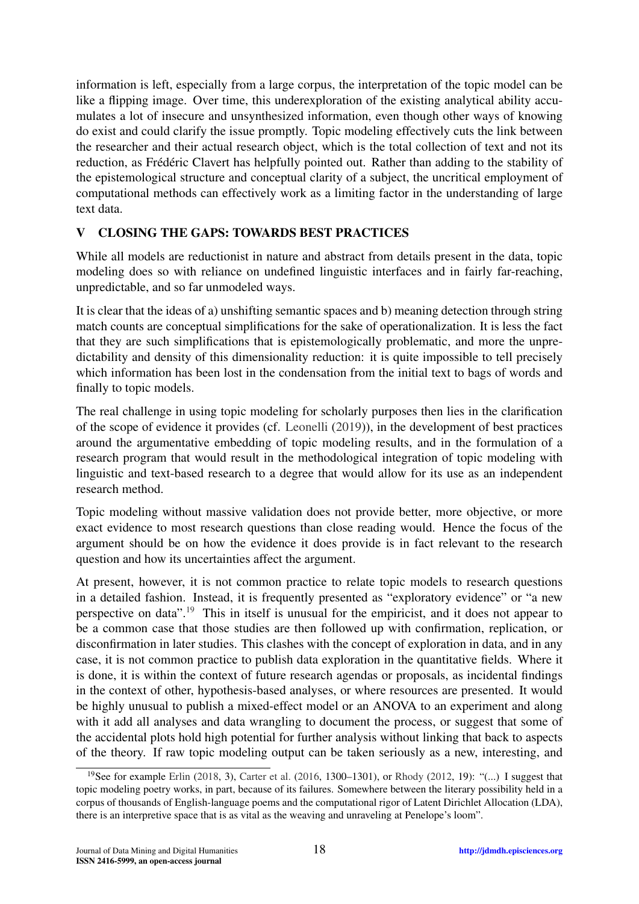information is left, especially from a large corpus, the interpretation of the topic model can be like a flipping image. Over time, this underexploration of the existing analytical ability accumulates a lot of insecure and unsynthesized information, even though other ways of knowing do exist and could clarify the issue promptly. Topic modeling effectively cuts the link between the researcher and their actual research object, which is the total collection of text and not its reduction, as Frédéric Clavert has helpfully pointed out. Rather than adding to the stability of the epistemological structure and conceptual clarity of a subject, the uncritical employment of computational methods can effectively work as a limiting factor in the understanding of large text data.

## <span id="page-17-0"></span>V CLOSING THE GAPS: TOWARDS BEST PRACTICES

While all models are reductionist in nature and abstract from details present in the data, topic modeling does so with reliance on undefined linguistic interfaces and in fairly far-reaching, unpredictable, and so far unmodeled ways.

It is clear that the ideas of a) unshifting semantic spaces and b) meaning detection through string match counts are conceptual simplifications for the sake of operationalization. It is less the fact that they are such simplifications that is epistemologically problematic, and more the unpredictability and density of this dimensionality reduction: it is quite impossible to tell precisely which information has been lost in the condensation from the initial text to bags of words and finally to topic models.

The real challenge in using topic modeling for scholarly purposes then lies in the clarification of the scope of evidence it provides (cf. [Leonelli](#page-24-29) [\(2019\)](#page-24-29)), in the development of best practices around the argumentative embedding of topic modeling results, and in the formulation of a research program that would result in the methodological integration of topic modeling with linguistic and text-based research to a degree that would allow for its use as an independent research method.

Topic modeling without massive validation does not provide better, more objective, or more exact evidence to most research questions than close reading would. Hence the focus of the argument should be on how the evidence it does provide is in fact relevant to the research question and how its uncertainties affect the argument.

At present, however, it is not common practice to relate topic models to research questions in a detailed fashion. Instead, it is frequently presented as "exploratory evidence" or "a new perspective on data".[19](#page-17-1) This in itself is unusual for the empiricist, and it does not appear to be a common case that those studies are then followed up with confirmation, replication, or disconfirmation in later studies. This clashes with the concept of exploration in data, and in any case, it is not common practice to publish data exploration in the quantitative fields. Where it is done, it is within the context of future research agendas or proposals, as incidental findings in the context of other, hypothesis-based analyses, or where resources are presented. It would be highly unusual to publish a mixed-effect model or an ANOVA to an experiment and along with it add all analyses and data wrangling to document the process, or suggest that some of the accidental plots hold high potential for further analysis without linking that back to aspects of the theory. If raw topic modeling output can be taken seriously as a new, interesting, and

<span id="page-17-1"></span><sup>19</sup>See for example [Erlin](#page-23-2) [\(2018,](#page-23-2) 3), [Carter et al.](#page-22-5) [\(2016,](#page-22-5) 1300–1301), or [Rhody](#page-25-27) [\(2012,](#page-25-27) 19): "(...) I suggest that topic modeling poetry works, in part, because of its failures. Somewhere between the literary possibility held in a corpus of thousands of English-language poems and the computational rigor of Latent Dirichlet Allocation (LDA), there is an interpretive space that is as vital as the weaving and unraveling at Penelope's loom".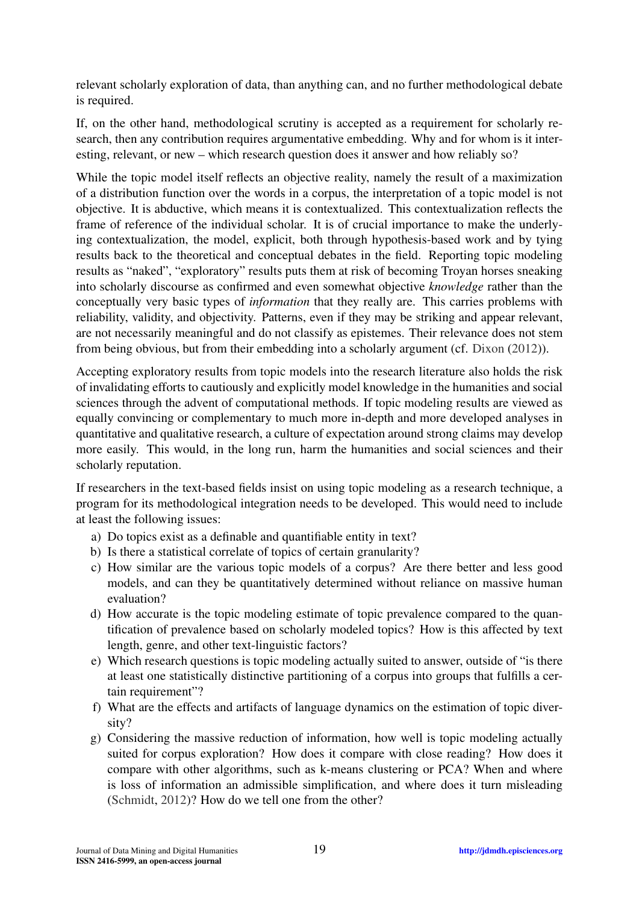relevant scholarly exploration of data, than anything can, and no further methodological debate is required.

If, on the other hand, methodological scrutiny is accepted as a requirement for scholarly research, then any contribution requires argumentative embedding. Why and for whom is it interesting, relevant, or new – which research question does it answer and how reliably so?

While the topic model itself reflects an objective reality, namely the result of a maximization of a distribution function over the words in a corpus, the interpretation of a topic model is not objective. It is abductive, which means it is contextualized. This contextualization reflects the frame of reference of the individual scholar. It is of crucial importance to make the underlying contextualization, the model, explicit, both through hypothesis-based work and by tying results back to the theoretical and conceptual debates in the field. Reporting topic modeling results as "naked", "exploratory" results puts them at risk of becoming Troyan horses sneaking into scholarly discourse as confirmed and even somewhat objective *knowledge* rather than the conceptually very basic types of *information* that they really are. This carries problems with reliability, validity, and objectivity. Patterns, even if they may be striking and appear relevant, are not necessarily meaningful and do not classify as epistemes. Their relevance does not stem from being obvious, but from their embedding into a scholarly argument (cf. [Dixon](#page-23-10) [\(2012\)](#page-23-10)).

Accepting exploratory results from topic models into the research literature also holds the risk of invalidating efforts to cautiously and explicitly model knowledge in the humanities and social sciences through the advent of computational methods. If topic modeling results are viewed as equally convincing or complementary to much more in-depth and more developed analyses in quantitative and qualitative research, a culture of expectation around strong claims may develop more easily. This would, in the long run, harm the humanities and social sciences and their scholarly reputation.

If researchers in the text-based fields insist on using topic modeling as a research technique, a program for its methodological integration needs to be developed. This would need to include at least the following issues:

- a) Do topics exist as a definable and quantifiable entity in text?
- b) Is there a statistical correlate of topics of certain granularity?
- c) How similar are the various topic models of a corpus? Are there better and less good models, and can they be quantitatively determined without reliance on massive human evaluation?
- d) How accurate is the topic modeling estimate of topic prevalence compared to the quantification of prevalence based on scholarly modeled topics? How is this affected by text length, genre, and other text-linguistic factors?
- e) Which research questions is topic modeling actually suited to answer, outside of "is there at least one statistically distinctive partitioning of a corpus into groups that fulfills a certain requirement"?
- f) What are the effects and artifacts of language dynamics on the estimation of topic diversity?
- g) Considering the massive reduction of information, how well is topic modeling actually suited for corpus exploration? How does it compare with close reading? How does it compare with other algorithms, such as k-means clustering or PCA? When and where is loss of information an admissible simplification, and where does it turn misleading [\(Schmidt,](#page-26-13) [2012\)](#page-26-13)? How do we tell one from the other?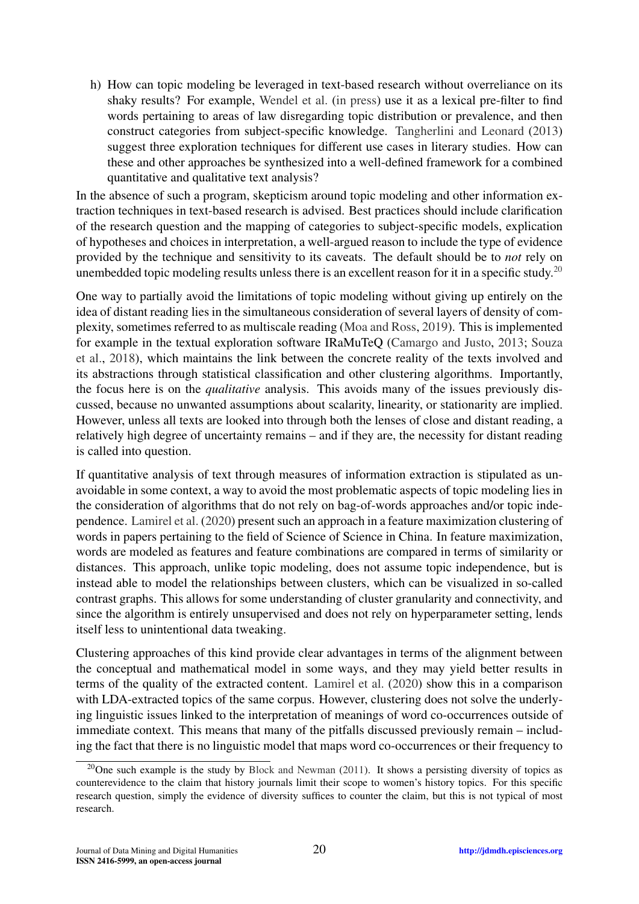h) How can topic modeling be leveraged in text-based research without overreliance on its shaky results? For example, [Wendel et al.](#page-26-19) [\(in press\)](#page-26-19) use it as a lexical pre-filter to find words pertaining to areas of law disregarding topic distribution or prevalence, and then construct categories from subject-specific knowledge. [Tangherlini and Leonard](#page-26-4) [\(2013\)](#page-26-4) suggest three exploration techniques for different use cases in literary studies. How can these and other approaches be synthesized into a well-defined framework for a combined quantitative and qualitative text analysis?

In the absence of such a program, skepticism around topic modeling and other information extraction techniques in text-based research is advised. Best practices should include clarification of the research question and the mapping of categories to subject-specific models, explication of hypotheses and choices in interpretation, a well-argued reason to include the type of evidence provided by the technique and sensitivity to its caveats. The default should be to *not* rely on unembedded topic modeling results unless there is an excellent reason for it in a specific study.<sup>[20](#page-19-0)</sup>

One way to partially avoid the limitations of topic modeling without giving up entirely on the idea of distant reading lies in the simultaneous consideration of several layers of density of complexity, sometimes referred to as multiscale reading [\(Moa and Ross,](#page-25-28) [2019\)](#page-25-28). This is implemented for example in the textual exploration software IRaMuTeQ [\(Camargo and Justo,](#page-22-26) [2013;](#page-22-26) [Souza](#page-26-27) [et al.,](#page-26-27) [2018\)](#page-26-27), which maintains the link between the concrete reality of the texts involved and its abstractions through statistical classification and other clustering algorithms. Importantly, the focus here is on the *qualitative* analysis. This avoids many of the issues previously discussed, because no unwanted assumptions about scalarity, linearity, or stationarity are implied. However, unless all texts are looked into through both the lenses of close and distant reading, a relatively high degree of uncertainty remains – and if they are, the necessity for distant reading is called into question.

If quantitative analysis of text through measures of information extraction is stipulated as unavoidable in some context, a way to avoid the most problematic aspects of topic modeling lies in the consideration of algorithms that do not rely on bag-of-words approaches and/or topic independence. [Lamirel et al.](#page-24-30) [\(2020\)](#page-24-30) present such an approach in a feature maximization clustering of words in papers pertaining to the field of Science of Science in China. In feature maximization, words are modeled as features and feature combinations are compared in terms of similarity or distances. This approach, unlike topic modeling, does not assume topic independence, but is instead able to model the relationships between clusters, which can be visualized in so-called contrast graphs. This allows for some understanding of cluster granularity and connectivity, and since the algorithm is entirely unsupervised and does not rely on hyperparameter setting, lends itself less to unintentional data tweaking.

Clustering approaches of this kind provide clear advantages in terms of the alignment between the conceptual and mathematical model in some ways, and they may yield better results in terms of the quality of the extracted content. [Lamirel et al.](#page-24-30) [\(2020\)](#page-24-30) show this in a comparison with LDA-extracted topics of the same corpus. However, clustering does not solve the underlying linguistic issues linked to the interpretation of meanings of word co-occurrences outside of immediate context. This means that many of the pitfalls discussed previously remain – including the fact that there is no linguistic model that maps word co-occurrences or their frequency to

<span id="page-19-0"></span><sup>&</sup>lt;sup>20</sup>One such example is the study by [Block and Newman](#page-22-27) [\(2011\)](#page-22-27). It shows a persisting diversity of topics as counterevidence to the claim that history journals limit their scope to women's history topics. For this specific research question, simply the evidence of diversity suffices to counter the claim, but this is not typical of most research.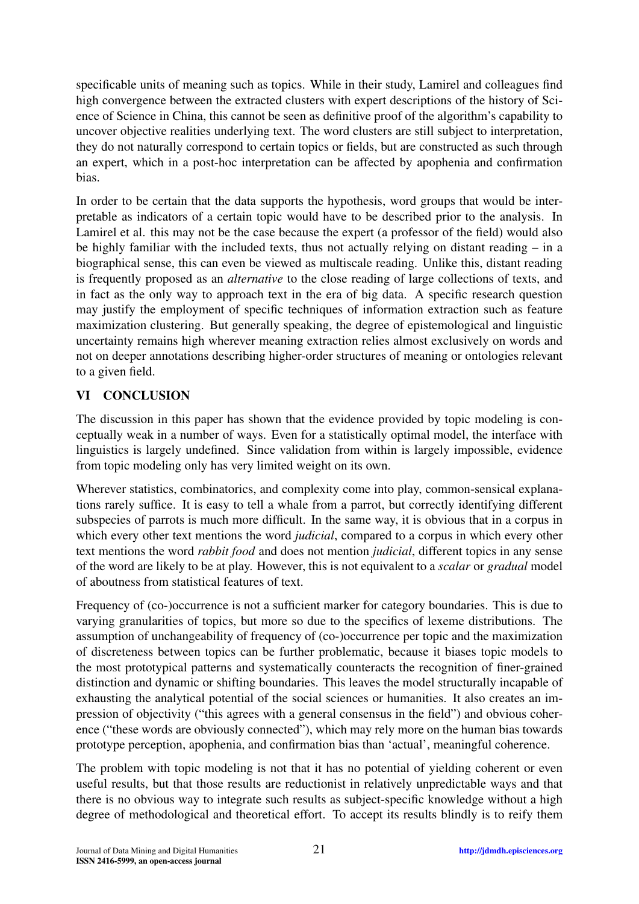specificable units of meaning such as topics. While in their study, Lamirel and colleagues find high convergence between the extracted clusters with expert descriptions of the history of Science of Science in China, this cannot be seen as definitive proof of the algorithm's capability to uncover objective realities underlying text. The word clusters are still subject to interpretation, they do not naturally correspond to certain topics or fields, but are constructed as such through an expert, which in a post-hoc interpretation can be affected by apophenia and confirmation bias.

In order to be certain that the data supports the hypothesis, word groups that would be interpretable as indicators of a certain topic would have to be described prior to the analysis. In Lamirel et al. this may not be the case because the expert (a professor of the field) would also be highly familiar with the included texts, thus not actually relying on distant reading – in a biographical sense, this can even be viewed as multiscale reading. Unlike this, distant reading is frequently proposed as an *alternative* to the close reading of large collections of texts, and in fact as the only way to approach text in the era of big data. A specific research question may justify the employment of specific techniques of information extraction such as feature maximization clustering. But generally speaking, the degree of epistemological and linguistic uncertainty remains high wherever meaning extraction relies almost exclusively on words and not on deeper annotations describing higher-order structures of meaning or ontologies relevant to a given field.

## VI CONCLUSION

The discussion in this paper has shown that the evidence provided by topic modeling is conceptually weak in a number of ways. Even for a statistically optimal model, the interface with linguistics is largely undefined. Since validation from within is largely impossible, evidence from topic modeling only has very limited weight on its own.

Wherever statistics, combinatorics, and complexity come into play, common-sensical explanations rarely suffice. It is easy to tell a whale from a parrot, but correctly identifying different subspecies of parrots is much more difficult. In the same way, it is obvious that in a corpus in which every other text mentions the word *judicial*, compared to a corpus in which every other text mentions the word *rabbit food* and does not mention *judicial*, different topics in any sense of the word are likely to be at play. However, this is not equivalent to a *scalar* or *gradual* model of aboutness from statistical features of text.

Frequency of (co-)occurrence is not a sufficient marker for category boundaries. This is due to varying granularities of topics, but more so due to the specifics of lexeme distributions. The assumption of unchangeability of frequency of (co-)occurrence per topic and the maximization of discreteness between topics can be further problematic, because it biases topic models to the most prototypical patterns and systematically counteracts the recognition of finer-grained distinction and dynamic or shifting boundaries. This leaves the model structurally incapable of exhausting the analytical potential of the social sciences or humanities. It also creates an impression of objectivity ("this agrees with a general consensus in the field") and obvious coherence ("these words are obviously connected"), which may rely more on the human bias towards prototype perception, apophenia, and confirmation bias than 'actual', meaningful coherence.

The problem with topic modeling is not that it has no potential of yielding coherent or even useful results, but that those results are reductionist in relatively unpredictable ways and that there is no obvious way to integrate such results as subject-specific knowledge without a high degree of methodological and theoretical effort. To accept its results blindly is to reify them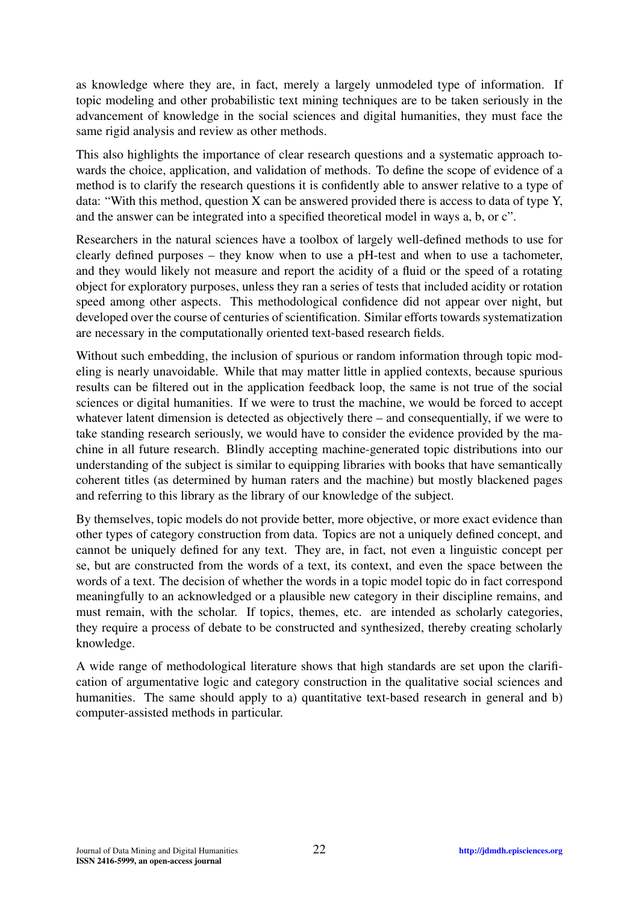as knowledge where they are, in fact, merely a largely unmodeled type of information. If topic modeling and other probabilistic text mining techniques are to be taken seriously in the advancement of knowledge in the social sciences and digital humanities, they must face the same rigid analysis and review as other methods.

This also highlights the importance of clear research questions and a systematic approach towards the choice, application, and validation of methods. To define the scope of evidence of a method is to clarify the research questions it is confidently able to answer relative to a type of data: "With this method, question X can be answered provided there is access to data of type Y, and the answer can be integrated into a specified theoretical model in ways a, b, or c".

Researchers in the natural sciences have a toolbox of largely well-defined methods to use for clearly defined purposes – they know when to use a pH-test and when to use a tachometer, and they would likely not measure and report the acidity of a fluid or the speed of a rotating object for exploratory purposes, unless they ran a series of tests that included acidity or rotation speed among other aspects. This methodological confidence did not appear over night, but developed over the course of centuries of scientification. Similar efforts towards systematization are necessary in the computationally oriented text-based research fields.

Without such embedding, the inclusion of spurious or random information through topic modeling is nearly unavoidable. While that may matter little in applied contexts, because spurious results can be filtered out in the application feedback loop, the same is not true of the social sciences or digital humanities. If we were to trust the machine, we would be forced to accept whatever latent dimension is detected as objectively there – and consequentially, if we were to take standing research seriously, we would have to consider the evidence provided by the machine in all future research. Blindly accepting machine-generated topic distributions into our understanding of the subject is similar to equipping libraries with books that have semantically coherent titles (as determined by human raters and the machine) but mostly blackened pages and referring to this library as the library of our knowledge of the subject.

By themselves, topic models do not provide better, more objective, or more exact evidence than other types of category construction from data. Topics are not a uniquely defined concept, and cannot be uniquely defined for any text. They are, in fact, not even a linguistic concept per se, but are constructed from the words of a text, its context, and even the space between the words of a text. The decision of whether the words in a topic model topic do in fact correspond meaningfully to an acknowledged or a plausible new category in their discipline remains, and must remain, with the scholar. If topics, themes, etc. are intended as scholarly categories, they require a process of debate to be constructed and synthesized, thereby creating scholarly knowledge.

A wide range of methodological literature shows that high standards are set upon the clarification of argumentative logic and category construction in the qualitative social sciences and humanities. The same should apply to a) quantitative text-based research in general and b) computer-assisted methods in particular.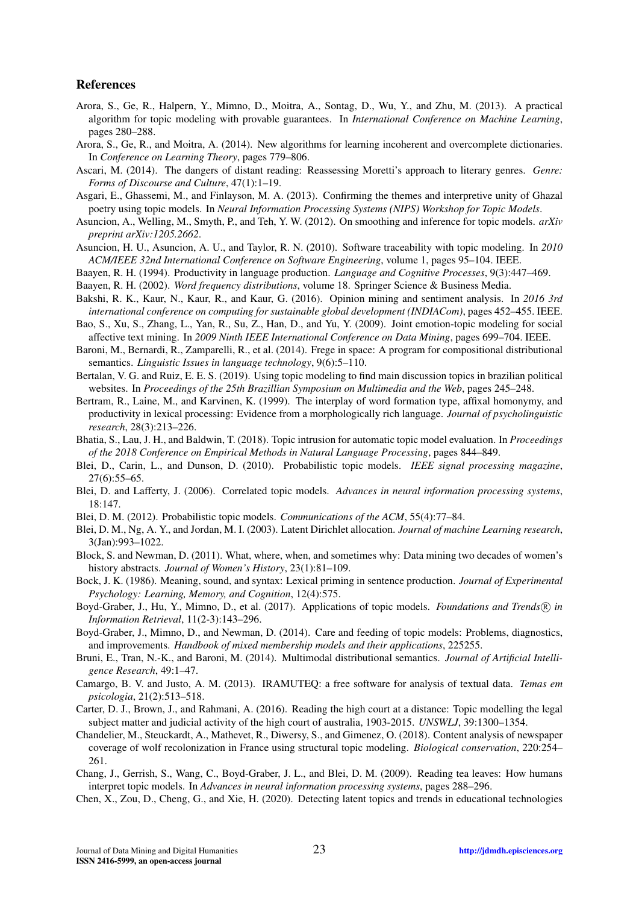#### References

- <span id="page-22-10"></span>Arora, S., Ge, R., Halpern, Y., Mimno, D., Moitra, A., Sontag, D., Wu, Y., and Zhu, M. (2013). A practical algorithm for topic modeling with provable guarantees. In *International Conference on Machine Learning*, pages 280–288.
- <span id="page-22-16"></span>Arora, S., Ge, R., and Moitra, A. (2014). New algorithms for learning incoherent and overcomplete dictionaries. In *Conference on Learning Theory*, pages 779–806.
- <span id="page-22-12"></span>Ascari, M. (2014). The dangers of distant reading: Reassessing Moretti's approach to literary genres. *Genre: Forms of Discourse and Culture*, 47(1):1–19.
- <span id="page-22-4"></span>Asgari, E., Ghassemi, M., and Finlayson, M. A. (2013). Confirming the themes and interpretive unity of Ghazal poetry using topic models. In *Neural Information Processing Systems (NIPS) Workshop for Topic Models*.
- <span id="page-22-25"></span>Asuncion, A., Welling, M., Smyth, P., and Teh, Y. W. (2012). On smoothing and inference for topic models. *arXiv preprint arXiv:1205.2662*.
- <span id="page-22-2"></span>Asuncion, H. U., Asuncion, A. U., and Taylor, R. N. (2010). Software traceability with topic modeling. In *2010 ACM/IEEE 32nd International Conference on Software Engineering*, volume 1, pages 95–104. IEEE.
- <span id="page-22-22"></span>Baayen, R. H. (1994). Productivity in language production. *Language and Cognitive Processes*, 9(3):447–469.
- <span id="page-22-20"></span><span id="page-22-17"></span>Baayen, R. H. (2002). *Word frequency distributions*, volume 18. Springer Science & Business Media.
- Bakshi, R. K., Kaur, N., Kaur, R., and Kaur, G. (2016). Opinion mining and sentiment analysis. In *2016 3rd international conference on computing for sustainable global development (INDIACom)*, pages 452–455. IEEE.
- <span id="page-22-1"></span>Bao, S., Xu, S., Zhang, L., Yan, R., Su, Z., Han, D., and Yu, Y. (2009). Joint emotion-topic modeling for social affective text mining. In *2009 Ninth IEEE International Conference on Data Mining*, pages 699–704. IEEE.
- <span id="page-22-19"></span>Baroni, M., Bernardi, R., Zamparelli, R., et al. (2014). Frege in space: A program for compositional distributional semantics. *Linguistic Issues in language technology*, 9(6):5–110.
- <span id="page-22-6"></span>Bertalan, V. G. and Ruiz, E. E. S. (2019). Using topic modeling to find main discussion topics in brazilian political websites. In *Proceedings of the 25th Brazillian Symposium on Multimedia and the Web*, pages 245–248.
- <span id="page-22-23"></span>Bertram, R., Laine, M., and Karvinen, K. (1999). The interplay of word formation type, affixal homonymy, and productivity in lexical processing: Evidence from a morphologically rich language. *Journal of psycholinguistic research*, 28(3):213–226.
- <span id="page-22-18"></span>Bhatia, S., Lau, J. H., and Baldwin, T. (2018). Topic intrusion for automatic topic model evaluation. In *Proceedings of the 2018 Conference on Empirical Methods in Natural Language Processing*, pages 844–849.
- <span id="page-22-14"></span>Blei, D., Carin, L., and Dunson, D. (2010). Probabilistic topic models. *IEEE signal processing magazine*, 27(6):55–65.
- <span id="page-22-0"></span>Blei, D. and Lafferty, J. (2006). Correlated topic models. *Advances in neural information processing systems*, 18:147.
- <span id="page-22-15"></span>Blei, D. M. (2012). Probabilistic topic models. *Communications of the ACM*, 55(4):77–84.
- <span id="page-22-13"></span>Blei, D. M., Ng, A. Y., and Jordan, M. I. (2003). Latent Dirichlet allocation. *Journal of machine Learning research*, 3(Jan):993–1022.
- <span id="page-22-27"></span>Block, S. and Newman, D. (2011). What, where, when, and sometimes why: Data mining two decades of women's history abstracts. *Journal of Women's History*, 23(1):81–109.
- <span id="page-22-24"></span>Bock, J. K. (1986). Meaning, sound, and syntax: Lexical priming in sentence production. *Journal of Experimental Psychology: Learning, Memory, and Cognition*, 12(4):575.
- <span id="page-22-3"></span>Boyd-Graber, J., Hu, Y., Mimno, D., et al. (2017). Applications of topic models. *Foundations and Trends*<sup>(R)</sup> in *Information Retrieval*, 11(2-3):143–296.
- <span id="page-22-11"></span>Boyd-Graber, J., Mimno, D., and Newman, D. (2014). Care and feeding of topic models: Problems, diagnostics, and improvements. *Handbook of mixed membership models and their applications*, 225255.
- <span id="page-22-21"></span>Bruni, E., Tran, N.-K., and Baroni, M. (2014). Multimodal distributional semantics. *Journal of Artificial Intelligence Research*, 49:1–47.
- <span id="page-22-26"></span>Camargo, B. V. and Justo, A. M. (2013). IRAMUTEQ: a free software for analysis of textual data. *Temas em psicologia*, 21(2):513–518.
- <span id="page-22-5"></span>Carter, D. J., Brown, J., and Rahmani, A. (2016). Reading the high court at a distance: Topic modelling the legal subject matter and judicial activity of the high court of australia, 1903-2015. *UNSWLJ*, 39:1300–1354.
- <span id="page-22-7"></span>Chandelier, M., Steuckardt, A., Mathevet, R., Diwersy, S., and Gimenez, O. (2018). Content analysis of newspaper coverage of wolf recolonization in France using structural topic modeling. *Biological conservation*, 220:254– 261.
- <span id="page-22-9"></span>Chang, J., Gerrish, S., Wang, C., Boyd-Graber, J. L., and Blei, D. M. (2009). Reading tea leaves: How humans interpret topic models. In *Advances in neural information processing systems*, pages 288–296.
- <span id="page-22-8"></span>Chen, X., Zou, D., Cheng, G., and Xie, H. (2020). Detecting latent topics and trends in educational technologies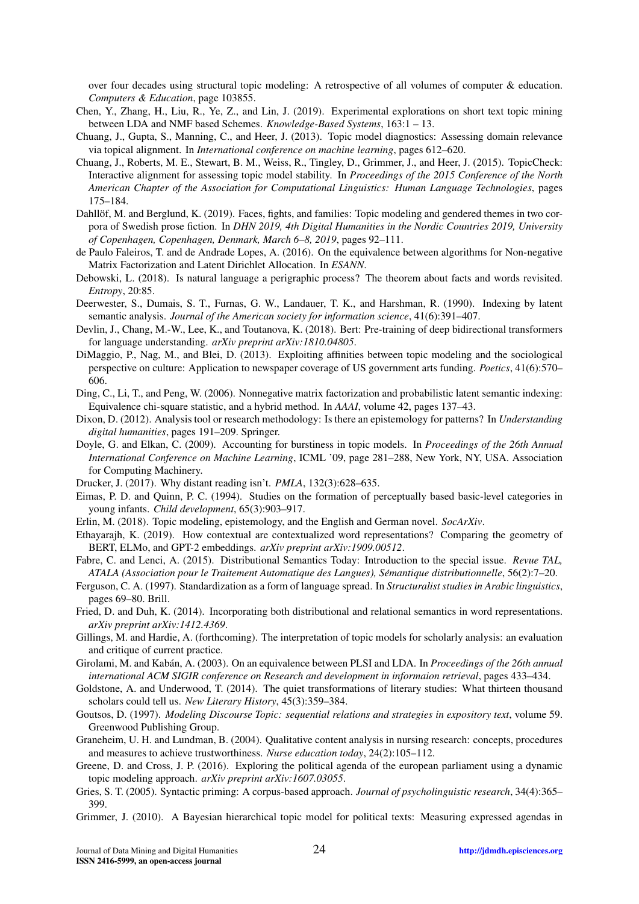over four decades using structural topic modeling: A retrospective of all volumes of computer & education. *Computers & Education*, page 103855.

- <span id="page-23-16"></span>Chen, Y., Zhang, H., Liu, R., Ye, Z., and Lin, J. (2019). Experimental explorations on short text topic mining between LDA and NMF based Schemes. *Knowledge-Based Systems*, 163:1 – 13.
- <span id="page-23-0"></span>Chuang, J., Gupta, S., Manning, C., and Heer, J. (2013). Topic model diagnostics: Assessing domain relevance via topical alignment. In *International conference on machine learning*, pages 612–620.
- <span id="page-23-7"></span>Chuang, J., Roberts, M. E., Stewart, B. M., Weiss, R., Tingley, D., Grimmer, J., and Heer, J. (2015). TopicCheck: Interactive alignment for assessing topic model stability. In *Proceedings of the 2015 Conference of the North American Chapter of the Association for Computational Linguistics: Human Language Technologies*, pages 175–184.
- <span id="page-23-3"></span>Dahllöf, M. and Berglund, K. (2019). Faces, fights, and families: Topic modeling and gendered themes in two corpora of Swedish prose fiction. In *DHN 2019, 4th Digital Humanities in the Nordic Countries 2019, University of Copenhagen, Copenhagen, Denmark, March 6–8, 2019*, pages 92–111.
- <span id="page-23-13"></span>de Paulo Faleiros, T. and de Andrade Lopes, A. (2016). On the equivalence between algorithms for Non-negative Matrix Factorization and Latent Dirichlet Allocation. In *ESANN*.
- <span id="page-23-17"></span>Debowski, L. (2018). Is natural language a perigraphic process? The theorem about facts and words revisited. *Entropy*, 20:85.
- <span id="page-23-11"></span>Deerwester, S., Dumais, S. T., Furnas, G. W., Landauer, T. K., and Harshman, R. (1990). Indexing by latent semantic analysis. *Journal of the American society for information science*, 41(6):391–407.
- <span id="page-23-19"></span>Devlin, J., Chang, M.-W., Lee, K., and Toutanova, K. (2018). Bert: Pre-training of deep bidirectional transformers for language understanding. *arXiv preprint arXiv:1810.04805*.
- <span id="page-23-6"></span>DiMaggio, P., Nag, M., and Blei, D. (2013). Exploiting affinities between topic modeling and the sociological perspective on culture: Application to newspaper coverage of US government arts funding. *Poetics*, 41(6):570– 606.
- <span id="page-23-15"></span>Ding, C., Li, T., and Peng, W. (2006). Nonnegative matrix factorization and probabilistic latent semantic indexing: Equivalence chi-square statistic, and a hybrid method. In *AAAI*, volume 42, pages 137–43.
- <span id="page-23-10"></span>Dixon, D. (2012). Analysis tool or research methodology: Is there an epistemology for patterns? In *Understanding digital humanities*, pages 191–209. Springer.
- <span id="page-23-24"></span>Doyle, G. and Elkan, C. (2009). Accounting for burstiness in topic models. In *Proceedings of the 26th Annual International Conference on Machine Learning*, ICML '09, page 281–288, New York, NY, USA. Association for Computing Machinery.
- <span id="page-23-8"></span>Drucker, J. (2017). Why distant reading isn't. *PMLA*, 132(3):628–635.
- <span id="page-23-26"></span>Eimas, P. D. and Quinn, P. C. (1994). Studies on the formation of perceptually based basic-level categories in young infants. *Child development*, 65(3):903–917.
- <span id="page-23-2"></span>Erlin, M. (2018). Topic modeling, epistemology, and the English and German novel. *SocArXiv*.
- <span id="page-23-20"></span>Ethayarajh, K. (2019). How contextual are contextualized word representations? Comparing the geometry of BERT, ELMo, and GPT-2 embeddings. *arXiv preprint arXiv:1909.00512*.
- <span id="page-23-18"></span>Fabre, C. and Lenci, A. (2015). Distributional Semantics Today: Introduction to the special issue. *Revue TAL, ATALA (Association pour le Traitement Automatique des Langues), Semantique distributionnelle ´* , 56(2):7–20.
- <span id="page-23-22"></span>Ferguson, C. A. (1997). Standardization as a form of language spread. In *Structuralist studies in Arabic linguistics*, pages 69–80. Brill.
- <span id="page-23-21"></span>Fried, D. and Duh, K. (2014). Incorporating both distributional and relational semantics in word representations. *arXiv preprint arXiv:1412.4369*.
- <span id="page-23-25"></span>Gillings, M. and Hardie, A. (forthcoming). The interpretation of topic models for scholarly analysis: an evaluation and critique of current practice.
- <span id="page-23-14"></span>Girolami, M. and Kabán, A. (2003). On an equivalence between PLSI and LDA. In Proceedings of the 26th annual *international ACM SIGIR conference on Research and development in informaion retrieval*, pages 433–434.
- <span id="page-23-1"></span>Goldstone, A. and Underwood, T. (2014). The quiet transformations of literary studies: What thirteen thousand scholars could tell us. *New Literary History*, 45(3):359–384.
- <span id="page-23-9"></span>Goutsos, D. (1997). *Modeling Discourse Topic: sequential relations and strategies in expository text*, volume 59. Greenwood Publishing Group.
- <span id="page-23-12"></span>Graneheim, U. H. and Lundman, B. (2004). Qualitative content analysis in nursing research: concepts, procedures and measures to achieve trustworthiness. *Nurse education today*, 24(2):105–112.
- <span id="page-23-4"></span>Greene, D. and Cross, J. P. (2016). Exploring the political agenda of the european parliament using a dynamic topic modeling approach. *arXiv preprint arXiv:1607.03055*.
- <span id="page-23-23"></span>Gries, S. T. (2005). Syntactic priming: A corpus-based approach. *Journal of psycholinguistic research*, 34(4):365– 399.
- <span id="page-23-5"></span>Grimmer, J. (2010). A Bayesian hierarchical topic model for political texts: Measuring expressed agendas in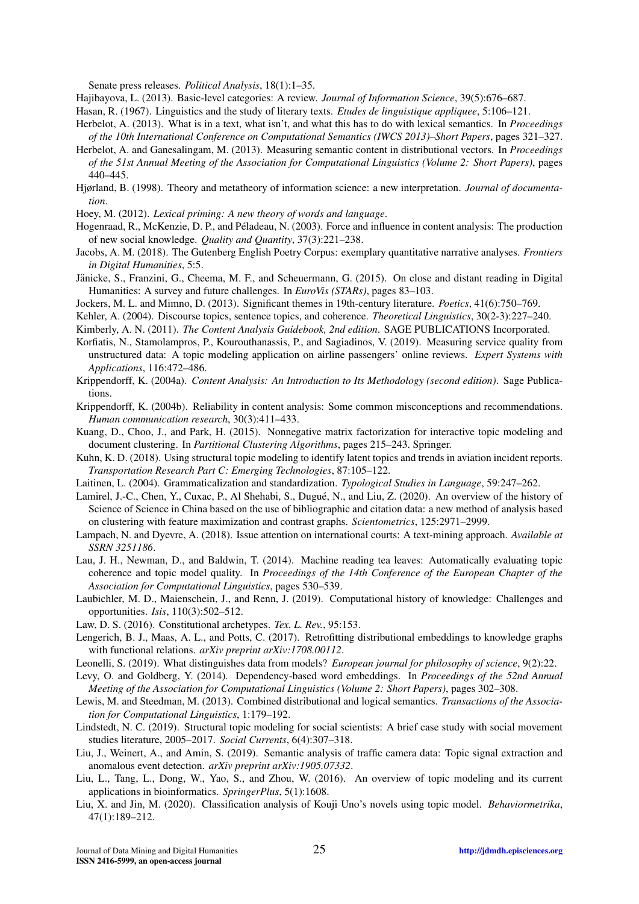Senate press releases. *Political Analysis*, 18(1):1–35.

<span id="page-24-28"></span>Hajibayova, L. (2013). Basic-level categories: A review. *Journal of Information Science*, 39(5):676–687.

- <span id="page-24-15"></span>Hasan, R. (1967). Linguistics and the study of literary texts. *Etudes de linguistique appliquee*, 5:106–121.
- <span id="page-24-19"></span>Herbelot, A. (2013). What is in a text, what isn't, and what this has to do with lexical semantics. In *Proceedings of the 10th International Conference on Computational Semantics (IWCS 2013)–Short Papers*, pages 321–327.
- <span id="page-24-23"></span>Herbelot, A. and Ganesalingam, M. (2013). Measuring semantic content in distributional vectors. In *Proceedings of the 51st Annual Meeting of the Association for Computational Linguistics (Volume 2: Short Papers)*, pages 440–445.
- <span id="page-24-27"></span>Hjørland, B. (1998). Theory and metatheory of information science: a new interpretation. *Journal of documentation*.
- <span id="page-24-26"></span>Hoey, M. (2012). *Lexical priming: A new theory of words and language*.
- <span id="page-24-25"></span>Hogenraad, R., McKenzie, D. P., and Peladeau, N. (2003). Force and influence in content analysis: The production ´ of new social knowledge. *Quality and Quantity*, 37(3):221–238.
- <span id="page-24-5"></span>Jacobs, A. M. (2018). The Gutenberg English Poetry Corpus: exemplary quantitative narrative analyses. *Frontiers in Digital Humanities*, 5:5.
- <span id="page-24-10"></span>Jänicke, S., Franzini, G., Cheema, M. F., and Scheuermann, G. (2015). On close and distant reading in Digital Humanities: A survey and future challenges. In *EuroVis (STARs)*, pages 83–103.
- <span id="page-24-4"></span>Jockers, M. L. and Mimno, D. (2013). Significant themes in 19th-century literature. *Poetics*, 41(6):750–769.
- <span id="page-24-13"></span><span id="page-24-11"></span>Kehler, A. (2004). Discourse topics, sentence topics, and coherence. *Theoretical Linguistics*, 30(2-3):227–240.
- Kimberly, A. N. (2011). *The Content Analysis Guidebook, 2nd edition*. SAGE PUBLICATIONS Incorporated.
- <span id="page-24-3"></span>Korfiatis, N., Stamolampros, P., Kourouthanassis, P., and Sagiadinos, V. (2019). Measuring service quality from unstructured data: A topic modeling application on airline passengers' online reviews. *Expert Systems with Applications*, 116:472–486.
- <span id="page-24-12"></span>Krippendorff, K. (2004a). *Content Analysis: An Introduction to Its Methodology (second edition)*. Sage Publications.
- <span id="page-24-14"></span>Krippendorff, K. (2004b). Reliability in content analysis: Some common misconceptions and recommendations. *Human communication research*, 30(3):411–433.
- <span id="page-24-16"></span>Kuang, D., Choo, J., and Park, H. (2015). Nonnegative matrix factorization for interactive topic modeling and document clustering. In *Partitional Clustering Algorithms*, pages 215–243. Springer.
- <span id="page-24-1"></span>Kuhn, K. D. (2018). Using structural topic modeling to identify latent topics and trends in aviation incident reports. *Transportation Research Part C: Emerging Technologies*, 87:105–122.
- <span id="page-24-21"></span>Laitinen, L. (2004). Grammaticalization and standardization. *Typological Studies in Language*, 59:247–262.
- <span id="page-24-30"></span>Lamirel, J.-C., Chen, Y., Cuxac, P., Al Shehabi, S., Dugué, N., and Liu, Z. (2020). An overview of the history of Science of Science in China based on the use of bibliographic and citation data: a new method of analysis based on clustering with feature maximization and contrast graphs. *Scientometrics*, 125:2971–2999.
- <span id="page-24-8"></span>Lampach, N. and Dyevre, A. (2018). Issue attention on international courts: A text-mining approach. *Available at SSRN 3251186*.
- <span id="page-24-17"></span>Lau, J. H., Newman, D., and Baldwin, T. (2014). Machine reading tea leaves: Automatically evaluating topic coherence and topic model quality. In *Proceedings of the 14th Conference of the European Chapter of the Association for Computational Linguistics*, pages 530–539.
- <span id="page-24-22"></span>Laubichler, M. D., Maienschein, J., and Renn, J. (2019). Computational history of knowledge: Challenges and opportunities. *Isis*, 110(3):502–512.
- <span id="page-24-7"></span>Law, D. S. (2016). Constitutional archetypes. *Tex. L. Rev.*, 95:153.
- <span id="page-24-20"></span>Lengerich, B. J., Maas, A. L., and Potts, C. (2017). Retrofitting distributional embeddings to knowledge graphs with functional relations. *arXiv preprint arXiv:1708.00112*.
- <span id="page-24-29"></span>Leonelli, S. (2019). What distinguishes data from models? *European journal for philosophy of science*, 9(2):22.
- <span id="page-24-18"></span>Levy, O. and Goldberg, Y. (2014). Dependency-based word embeddings. In *Proceedings of the 52nd Annual Meeting of the Association for Computational Linguistics (Volume 2: Short Papers)*, pages 302–308.
- <span id="page-24-24"></span>Lewis, M. and Steedman, M. (2013). Combined distributional and logical semantics. *Transactions of the Association for Computational Linguistics*, 1:179–192.
- <span id="page-24-9"></span>Lindstedt, N. C. (2019). Structural topic modeling for social scientists: A brief case study with social movement studies literature, 2005–2017. *Social Currents*, 6(4):307–318.
- <span id="page-24-2"></span>Liu, J., Weinert, A., and Amin, S. (2019). Semantic analysis of traffic camera data: Topic signal extraction and anomalous event detection. *arXiv preprint arXiv:1905.07332*.
- <span id="page-24-0"></span>Liu, L., Tang, L., Dong, W., Yao, S., and Zhou, W. (2016). An overview of topic modeling and its current applications in bioinformatics. *SpringerPlus*, 5(1):1608.
- <span id="page-24-6"></span>Liu, X. and Jin, M. (2020). Classification analysis of Kouji Uno's novels using topic model. *Behaviormetrika*, 47(1):189–212.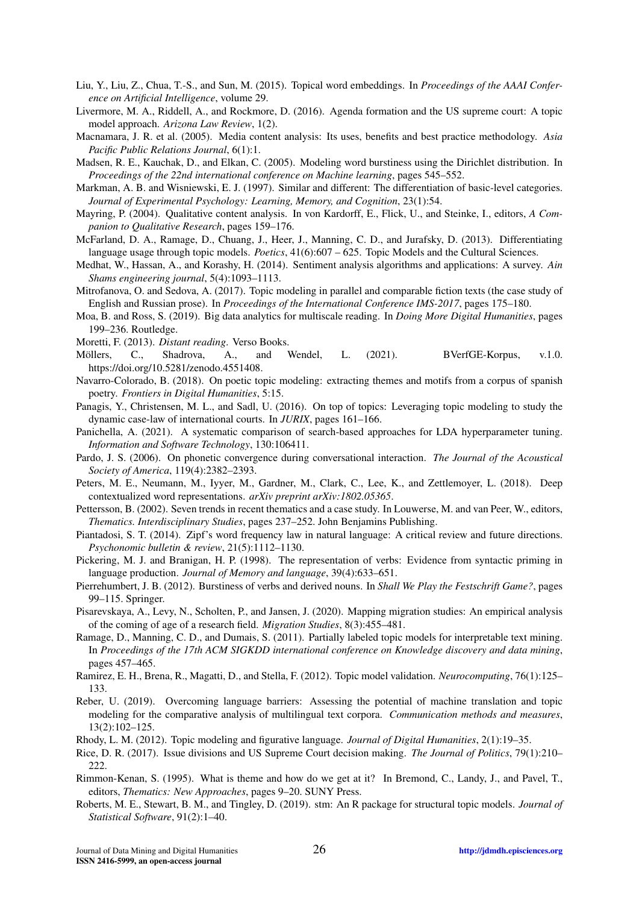- <span id="page-25-18"></span>Liu, Y., Liu, Z., Chua, T.-S., and Sun, M. (2015). Topical word embeddings. In *Proceedings of the AAAI Conference on Artificial Intelligence*, volume 29.
- <span id="page-25-5"></span>Livermore, M. A., Riddell, A., and Rockmore, D. (2016). Agenda formation and the US supreme court: A topic model approach. *Arizona Law Review*, 1(2).
- <span id="page-25-13"></span>Macnamara, J. R. et al. (2005). Media content analysis: Its uses, benefits and best practice methodology. *Asia Pacific Public Relations Journal*, 6(1):1.
- <span id="page-25-21"></span>Madsen, R. E., Kauchak, D., and Elkan, C. (2005). Modeling word burstiness using the Dirichlet distribution. In *Proceedings of the 22nd international conference on Machine learning*, pages 545–552.
- <span id="page-25-26"></span>Markman, A. B. and Wisniewski, E. J. (1997). Similar and different: The differentiation of basic-level categories. *Journal of Experimental Psychology: Learning, Memory, and Cognition*, 23(1):54.
- <span id="page-25-14"></span>Mayring, P. (2004). Qualitative content analysis. In von Kardorff, E., Flick, U., and Steinke, I., editors, *A Companion to Qualitative Research*, pages 159–176.
- <span id="page-25-10"></span>McFarland, D. A., Ramage, D., Chuang, J., Heer, J., Manning, C. D., and Jurafsky, D. (2013). Differentiating language usage through topic models. *Poetics*, 41(6):607 – 625. Topic Models and the Cultural Sciences.
- <span id="page-25-19"></span>Medhat, W., Hassan, A., and Korashy, H. (2014). Sentiment analysis algorithms and applications: A survey. *Ain Shams engineering journal*, 5(4):1093–1113.
- <span id="page-25-3"></span>Mitrofanova, O. and Sedova, A. (2017). Topic modeling in parallel and comparable fiction texts (the case study of English and Russian prose). In *Proceedings of the International Conference IMS-2017*, pages 175–180.
- <span id="page-25-28"></span>Moa, B. and Ross, S. (2019). Big data analytics for multiscale reading. In *Doing More Digital Humanities*, pages 199–236. Routledge.
- <span id="page-25-9"></span>Moretti, F. (2013). *Distant reading*. Verso Books.
- <span id="page-25-15"></span>Möllers, C., Shadrova, A., and Wendel, L. (2021). BVerfGE-Korpus, v.1.0. https://doi.org/10.5281/zenodo.4551408.
- <span id="page-25-4"></span>Navarro-Colorado, B. (2018). On poetic topic modeling: extracting themes and motifs from a corpus of spanish poetry. *Frontiers in Digital Humanities*, 5:15.
- <span id="page-25-6"></span>Panagis, Y., Christensen, M. L., and Sadl, U. (2016). On top of topics: Leveraging topic modeling to study the dynamic case-law of international courts. In *JURIX*, pages 161–166.
- <span id="page-25-25"></span>Panichella, A. (2021). A systematic comparison of search-based approaches for LDA hyperparameter tuning. *Information and Software Technology*, 130:106411.
- <span id="page-25-24"></span>Pardo, J. S. (2006). On phonetic convergence during conversational interaction. *The Journal of the Acoustical Society of America*, 119(4):2382–2393.
- <span id="page-25-17"></span>Peters, M. E., Neumann, M., Iyyer, M., Gardner, M., Clark, C., Lee, K., and Zettlemoyer, L. (2018). Deep contextualized word representations. *arXiv preprint arXiv:1802.05365*.
- <span id="page-25-11"></span>Pettersson, B. (2002). Seven trends in recent thematics and a case study. In Louwerse, M. and van Peer, W., editors, *Thematics. Interdisciplinary Studies*, pages 237–252. John Benjamins Publishing.
- <span id="page-25-16"></span>Piantadosi, S. T. (2014). Zipf's word frequency law in natural language: A critical review and future directions. *Psychonomic bulletin & review*, 21(5):1112–1130.
- <span id="page-25-23"></span>Pickering, M. J. and Branigan, H. P. (1998). The representation of verbs: Evidence from syntactic priming in language production. *Journal of Memory and language*, 39(4):633–651.
- <span id="page-25-22"></span>Pierrehumbert, J. B. (2012). Burstiness of verbs and derived nouns. In *Shall We Play the Festschrift Game?*, pages 99–115. Springer.
- <span id="page-25-20"></span>Pisarevskaya, A., Levy, N., Scholten, P., and Jansen, J. (2020). Mapping migration studies: An empirical analysis of the coming of age of a research field. *Migration Studies*, 8(3):455–481.
- <span id="page-25-1"></span>Ramage, D., Manning, C. D., and Dumais, S. (2011). Partially labeled topic models for interpretable text mining. In *Proceedings of the 17th ACM SIGKDD international conference on Knowledge discovery and data mining*, pages 457–465.
- <span id="page-25-8"></span>Ramirez, E. H., Brena, R., Magatti, D., and Stella, F. (2012). Topic model validation. *Neurocomputing*, 76(1):125– 133.
- <span id="page-25-2"></span>Reber, U. (2019). Overcoming language barriers: Assessing the potential of machine translation and topic modeling for the comparative analysis of multilingual text corpora. *Communication methods and measures*, 13(2):102–125.
- <span id="page-25-27"></span>Rhody, L. M. (2012). Topic modeling and figurative language. *Journal of Digital Humanities*, 2(1):19–35.
- <span id="page-25-7"></span>Rice, D. R. (2017). Issue divisions and US Supreme Court decision making. *The Journal of Politics*, 79(1):210– 222.
- <span id="page-25-12"></span>Rimmon-Kenan, S. (1995). What is theme and how do we get at it? In Bremond, C., Landy, J., and Pavel, T., editors, *Thematics: New Approaches*, pages 9–20. SUNY Press.
- <span id="page-25-0"></span>Roberts, M. E., Stewart, B. M., and Tingley, D. (2019). stm: An R package for structural topic models. *Journal of Statistical Software*, 91(2):1–40.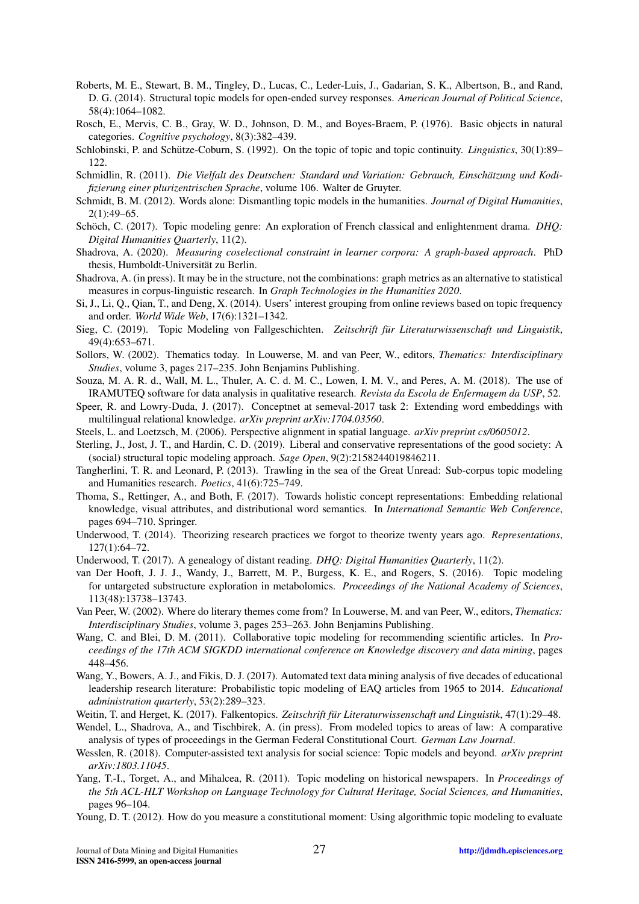- <span id="page-26-0"></span>Roberts, M. E., Stewart, B. M., Tingley, D., Lucas, C., Leder-Luis, J., Gadarian, S. K., Albertson, B., and Rand, D. G. (2014). Structural topic models for open-ended survey responses. *American Journal of Political Science*, 58(4):1064–1082.
- <span id="page-26-26"></span>Rosch, E., Mervis, C. B., Gray, W. D., Johnson, D. M., and Boyes-Braem, P. (1976). Basic objects in natural categories. *Cognitive psychology*, 8(3):382–439.
- <span id="page-26-15"></span>Schlobinski, P. and Schütze-Coburn, S. (1992). On the topic of topic and topic continuity. *Linguistics*, 30(1):89– 122.
- <span id="page-26-23"></span>Schmidlin, R. (2011). *Die Vielfalt des Deutschen: Standard und Variation: Gebrauch, Einschatzung und Kodi- ¨ fizierung einer plurizentrischen Sprache*, volume 106. Walter de Gruyter.
- <span id="page-26-13"></span>Schmidt, B. M. (2012). Words alone: Dismantling topic models in the humanities. *Journal of Digital Humanities*, 2(1):49–65.
- <span id="page-26-7"></span>Schöch, C. (2017). Topic modeling genre: An exploration of French classical and enlightenment drama. *DHQ: Digital Humanities Quarterly*, 11(2).
- <span id="page-26-24"></span>Shadrova, A. (2020). *Measuring coselectional constraint in learner corpora: A graph-based approach*. PhD thesis, Humboldt-Universität zu Berlin.
- <span id="page-26-18"></span>Shadrova, A. (in press). It may be in the structure, not the combinations: graph metrics as an alternative to statistical measures in corpus-linguistic research. In *Graph Technologies in the Humanities 2020*.
- <span id="page-26-2"></span>Si, J., Li, Q., Qian, T., and Deng, X. (2014). Users' interest grouping from online reviews based on topic frequency and order. *World Wide Web*, 17(6):1321–1342.
- <span id="page-26-8"></span>Sieg, C. (2019). Topic Modeling von Fallgeschichten. *Zeitschrift für Literaturwissenschaft und Linguistik*, 49(4):653–671.
- <span id="page-26-17"></span>Sollors, W. (2002). Thematics today. In Louwerse, M. and van Peer, W., editors, *Thematics: Interdisciplinary Studies*, volume 3, pages 217–235. John Benjamins Publishing.
- <span id="page-26-27"></span>Souza, M. A. R. d., Wall, M. L., Thuler, A. C. d. M. C., Lowen, I. M. V., and Peres, A. M. (2018). The use of IRAMUTEQ software for data analysis in qualitative research. *Revista da Escola de Enfermagem da USP*, 52.
- <span id="page-26-21"></span>Speer, R. and Lowry-Duda, J. (2017). Conceptnet at semeval-2017 task 2: Extending word embeddings with multilingual relational knowledge. *arXiv preprint arXiv:1704.03560*.
- <span id="page-26-25"></span>Steels, L. and Loetzsch, M. (2006). Perspective alignment in spatial language. *arXiv preprint cs/0605012*.
- <span id="page-26-11"></span>Sterling, J., Jost, J. T., and Hardin, C. D. (2019). Liberal and conservative representations of the good society: A (social) structural topic modeling approach. *Sage Open*, 9(2):2158244019846211.
- <span id="page-26-4"></span>Tangherlini, T. R. and Leonard, P. (2013). Trawling in the sea of the Great Unread: Sub-corpus topic modeling and Humanities research. *Poetics*, 41(6):725–749.
- <span id="page-26-22"></span>Thoma, S., Rettinger, A., and Both, F. (2017). Towards holistic concept representations: Embedding relational knowledge, visual attributes, and distributional word semantics. In *International Semantic Web Conference*, pages 694–710. Springer.
- <span id="page-26-5"></span>Underwood, T. (2014). Theorizing research practices we forgot to theorize twenty years ago. *Representations*, 127(1):64–72.
- <span id="page-26-14"></span><span id="page-26-3"></span>Underwood, T. (2017). A genealogy of distant reading. *DHQ: Digital Humanities Quarterly*, 11(2).
- van Der Hooft, J. J. J., Wandy, J., Barrett, M. P., Burgess, K. E., and Rogers, S. (2016). Topic modeling for untargeted substructure exploration in metabolomics. *Proceedings of the National Academy of Sciences*, 113(48):13738–13743.
- <span id="page-26-16"></span>Van Peer, W. (2002). Where do literary themes come from? In Louwerse, M. and van Peer, W., editors, *Thematics: Interdisciplinary Studies*, volume 3, pages 253–263. John Benjamins Publishing.
- <span id="page-26-1"></span>Wang, C. and Blei, D. M. (2011). Collaborative topic modeling for recommending scientific articles. In *Proceedings of the 17th ACM SIGKDD international conference on Knowledge discovery and data mining*, pages 448–456.
- <span id="page-26-9"></span>Wang, Y., Bowers, A. J., and Fikis, D. J. (2017). Automated text data mining analysis of five decades of educational leadership research literature: Probabilistic topic modeling of EAQ articles from 1965 to 2014. *Educational administration quarterly*, 53(2):289–323.
- <span id="page-26-6"></span>Weitin, T. and Herget, K. (2017). Falkentopics. *Zeitschrift für Literaturwissenschaft und Linguistik*, 47(1):29–48.
- <span id="page-26-19"></span>Wendel, L., Shadrova, A., and Tischbirek, A. (in press). From modeled topics to areas of law: A comparative analysis of types of proceedings in the German Federal Constitutional Court. *German Law Journal*.
- <span id="page-26-20"></span>Wesslen, R. (2018). Computer-assisted text analysis for social science: Topic models and beyond. *arXiv preprint arXiv:1803.11045*.
- <span id="page-26-12"></span>Yang, T.-I., Torget, A., and Mihalcea, R. (2011). Topic modeling on historical newspapers. In *Proceedings of the 5th ACL-HLT Workshop on Language Technology for Cultural Heritage, Social Sciences, and Humanities*, pages 96–104.
- <span id="page-26-10"></span>Young, D. T. (2012). How do you measure a constitutional moment: Using algorithmic topic modeling to evaluate